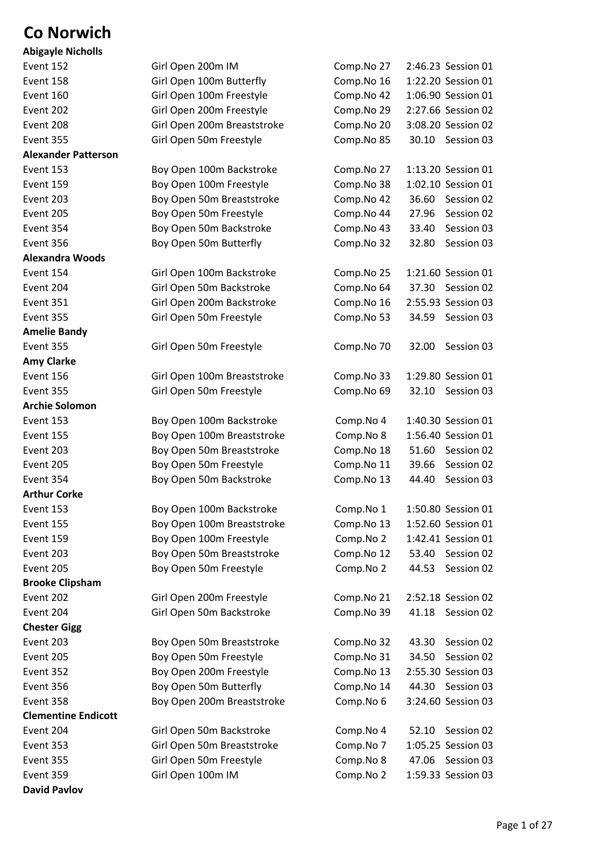## **Co Norwich**

| <b>Abigayle Nicholls</b>   |
|----------------------------|
| Event 152                  |
| Event 158                  |
| Event 160                  |
| Event 202                  |
| Event 208                  |
| Event 355                  |
| <b>Alexander Patterson</b> |
| Event 153                  |
| Event 159                  |
| Event 203                  |
| Event 205                  |
| Event 354                  |
| Event 356                  |
| Alexandra Woods            |
| Event 154                  |
| Event 204                  |
| Event 351                  |
| Event 355                  |
| <b>Amelie Bandy</b>        |
| Event 355                  |
| <b>Amy Clarke</b>          |
| Event 156                  |
| Event 355                  |
| <b>Archie Solomon</b>      |
| Event 153                  |
| Event 155                  |
| Event 203                  |
| Event 205                  |
| Event 354                  |
| <b>Arthur Corke</b>        |
| Event 153                  |
| Event 155                  |
| Event 159                  |
| Event 203                  |
| Event 205                  |
| <b>Brooke Clipsham</b>     |
| Event 202                  |
| Event 204                  |
| <b>Chester Gigg</b>        |
| Event 203                  |
| Event 205                  |
| Event 352                  |
| Event 356                  |
| Event 358                  |
| <b>Clementine Endicott</b> |
| Event 204                  |
| Event 353                  |
| Event 355                  |
| Event 359                  |
| <b>David Pavlov</b>        |

| ANISAYIC MICHONS           |                             |            |                     |
|----------------------------|-----------------------------|------------|---------------------|
| Event 152                  | Girl Open 200m IM           | Comp.No 27 | 2:46.23 Session 01  |
| Event 158                  | Girl Open 100m Butterfly    | Comp.No 16 | 1:22.20 Session 01  |
| Event 160                  | Girl Open 100m Freestyle    | Comp.No 42 | 1:06.90 Session 01  |
| Event 202                  | Girl Open 200m Freestyle    | Comp.No 29 | 2:27.66 Session 02  |
| Event 208                  | Girl Open 200m Breaststroke | Comp.No 20 | 3:08.20 Session 02  |
| Event 355                  | Girl Open 50m Freestyle     | Comp.No 85 | 30.10 Session 03    |
| <b>Alexander Patterson</b> |                             |            |                     |
| Event 153                  | Boy Open 100m Backstroke    | Comp.No 27 | 1:13.20 Session 01  |
| Event 159                  | Boy Open 100m Freestyle     | Comp.No 38 | 1:02.10 Session 01  |
| Event 203                  | Boy Open 50m Breaststroke   | Comp.No 42 | 36.60<br>Session 02 |
| Event 205                  | Boy Open 50m Freestyle      | Comp.No 44 | 27.96<br>Session 02 |
| Event 354                  | Boy Open 50m Backstroke     | Comp.No 43 | 33.40<br>Session 03 |
| Event 356                  | Boy Open 50m Butterfly      | Comp.No 32 | 32.80<br>Session 03 |
| <b>Alexandra Woods</b>     |                             |            |                     |
| Event 154                  | Girl Open 100m Backstroke   | Comp.No 25 | 1:21.60 Session 01  |
| Event 204                  | Girl Open 50m Backstroke    | Comp.No 64 | 37.30<br>Session 02 |
| <b>Event 351</b>           | Girl Open 200m Backstroke   | Comp.No 16 | 2:55.93 Session 03  |
| Event 355                  | Girl Open 50m Freestyle     | Comp.No 53 | 34.59 Session 03    |
| <b>Amelie Bandy</b>        |                             |            |                     |
| Event 355                  | Girl Open 50m Freestyle     | Comp.No 70 | Session 03<br>32.00 |
| <b>Amy Clarke</b>          |                             |            |                     |
| Event 156                  | Girl Open 100m Breaststroke | Comp.No 33 | 1:29.80 Session 01  |
| Event 355                  | Girl Open 50m Freestyle     | Comp.No 69 | 32.10<br>Session 03 |
| <b>Archie Solomon</b>      |                             |            |                     |
| Event 153                  | Boy Open 100m Backstroke    | Comp.No 4  | 1:40.30 Session 01  |
| Event 155                  | Boy Open 100m Breaststroke  | Comp.No 8  | 1:56.40 Session 01  |
| Event 203                  | Boy Open 50m Breaststroke   | Comp.No 18 | 51.60<br>Session 02 |
| Event 205                  | Boy Open 50m Freestyle      | Comp.No 11 | 39.66<br>Session 02 |
| Event 354                  | Boy Open 50m Backstroke     | Comp.No 13 | 44.40<br>Session 03 |
| <b>Arthur Corke</b>        |                             |            |                     |
| Event 153                  | Boy Open 100m Backstroke    | Comp.No 1  | 1:50.80 Session 01  |
| Event 155                  | Boy Open 100m Breaststroke  | Comp.No 13 | 1:52.60 Session 01  |
| Event 159                  | Boy Open 100m Freestyle     | Comp.No 2  | 1:42.41 Session 01  |
| Event 203                  | Boy Open 50m Breaststroke   | Comp.No 12 | 53.40<br>Session 02 |
| Event 205                  | Boy Open 50m Freestyle      | Comp.No 2  | Session 02<br>44.53 |
| <b>Brooke Clipsham</b>     |                             |            |                     |
| Event 202                  | Girl Open 200m Freestyle    | Comp.No 21 | 2:52.18 Session 02  |
| Event 204                  | Girl Open 50m Backstroke    | Comp.No 39 | 41.18<br>Session 02 |
| <b>Chester Gigg</b>        |                             |            |                     |
| Event 203                  | Boy Open 50m Breaststroke   | Comp.No 32 | Session 02<br>43.30 |
| Event 205                  | Boy Open 50m Freestyle      | Comp.No 31 | Session 02<br>34.50 |
| Event 352                  | Boy Open 200m Freestyle     | Comp.No 13 | 2:55.30 Session 03  |
| Event 356                  | Boy Open 50m Butterfly      | Comp.No 14 | 44.30 Session 03    |
| Event 358                  | Boy Open 200m Breaststroke  | Comp.No 6  | 3:24.60 Session 03  |
| <b>Clementine Endicott</b> |                             |            |                     |
| Event 204                  | Girl Open 50m Backstroke    | Comp.No 4  | Session 02<br>52.10 |
| Event 353                  | Girl Open 50m Breaststroke  | Comp.No 7  | 1:05.25 Session 03  |
| Event 355                  | Girl Open 50m Freestyle     | Comp.No 8  | 47.06<br>Session 03 |
| Event 359                  | Girl Open 100m IM           | Comp.No 2  | 1:59.33 Session 03  |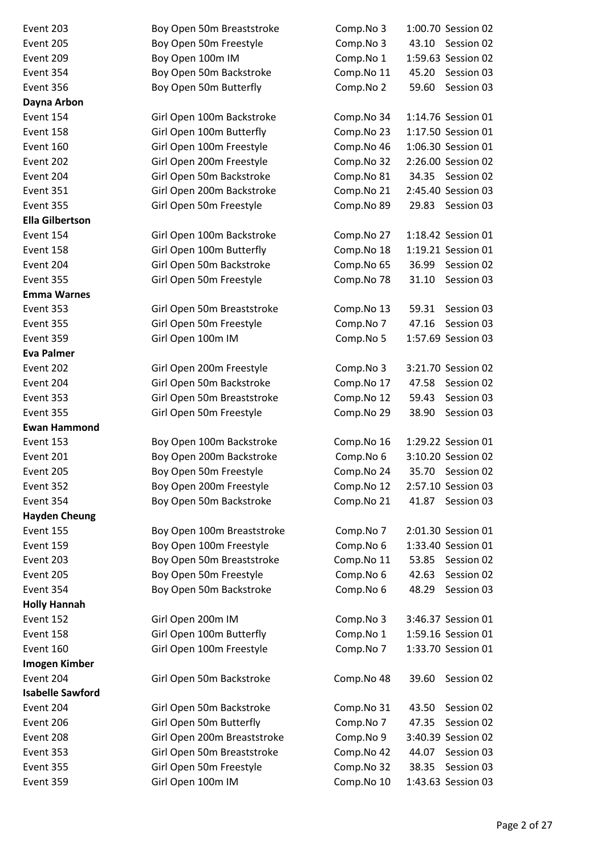Event 203 Boy Open 50m Breaststroke Comp.No 3 1:00.70 Session 02 Event 205 Boy Open 50m Freestyle Comp.No 3 43.10 Session 02 Event 209 Boy Open 100m IM Comp.No 1 1:59.63 Session 02 Event 354 Boy Open 50m Backstroke Comp.No 11 45.20 Session 03 Event 356 Boy Open 50m Butterfly Comp.No 2 59.60 Session 03 **Dayna Arbon** Event 154 Girl Open 100m Backstroke Comp.No 34 1:14.76 Session 01 Event 158 Girl Open 100m Butterfly Comp.No 23 1:17.50 Session 01 Event 160 Girl Open 100m Freestyle Comp.No 46 1:06.30 Session 01 Event 202 Girl Open 200m Freestyle Comp.No 32 2:26.00 Session 02 Event 204 Girl Open 50m Backstroke Comp.No 81 34.35 Session 02 Event 351 Girl Open 200m Backstroke Comp.No 21 2:45.40 Session 03 Event 355 Girl Open 50m Freestyle Comp.No 89 29.83 Session 03 **Ella Gilbertson** Event 154 Girl Open 100m Backstroke Comp.No 27 1:18.42 Session 01 Event 158 Girl Open 100m Butterfly Comp.No 18 1:19.21 Session 01 Event 204 Girl Open 50m Backstroke Comp.No 65 36.99 Session 02 Event 355 Girl Open 50m Freestyle Comp.No 78 31.10 Session 03 **Emma Warnes** Event 353 Girl Open 50m Breaststroke Comp.No 13 59.31 Session 03 Event 355 Girl Open 50m Freestyle Comp.No 7 47.16 Session 03 Event 359 Girl Open 100m IM Comp.No 5 1:57.69 Session 03 **Eva Palmer** Event 202 Girl Open 200m Freestyle Comp.No 3 3:21.70 Session 02 Event 204 Girl Open 50m Backstroke Comp.No 17 47.58 Session 02 Event 353 Girl Open 50m Breaststroke Comp.No 12 59.43 Session 03 Event 355 Girl Open 50m Freestyle Comp.No 29 38.90 Session 03 **Ewan Hammond** Event 153 Boy Open 100m Backstroke Comp.No 16 1:29.22 Session 01 Event 201 Boy Open 200m Backstroke Comp.No 6 3:10.20 Session 02 Event 205 Boy Open 50m Freestyle Comp.No 24 35.70 Session 02 Event 352 Boy Open 200m Freestyle Comp.No 12 2:57.10 Session 03 Event 354 Boy Open 50m Backstroke Comp.No 21 41.87 Session 03 **Hayden Cheung** Event 155 Boy Open 100m Breaststroke Comp.No 7 2:01.30 Session 01 Event 159 Boy Open 100m Freestyle Comp.No 6 1:33.40 Session 01 Event 203 Boy Open 50m Breaststroke Comp.No 11 53.85 Session 02 Event 205 Boy Open 50m Freestyle Comp.No 6 42.63 Session 02 Event 354 Boy Open 50m Backstroke Comp.No 6 48.29 Session 03 **Holly Hannah** Event 152 Girl Open 200m IM Comp.No 3 3:46.37 Session 01 Event 158 Girl Open 100m Butterfly Comp.No 1 1:59.16 Session 01 Event 160 Girl Open 100m Freestyle Comp.No 7 1:33.70 Session 01 **Imogen Kimber** Event 204 Girl Open 50m Backstroke Comp.No 48 39.60 Session 02 **Isabelle Sawford** Event 204 Girl Open 50m Backstroke Comp.No 31 43.50 Session 02 Event 206 Girl Open 50m Butterfly Comp.No 7 47.35 Session 02 Event 208 Girl Open 200m Breaststroke Comp.No 9 3:40.39 Session 02 Event 353 Girl Open 50m Breaststroke Comp.No 42 44.07 Session 03 Event 355 Girl Open 50m Freestyle Comp.No 32 38.35 Session 03 Event 359 Girl Open 100m IM Comp.No 10 1:43.63 Session 03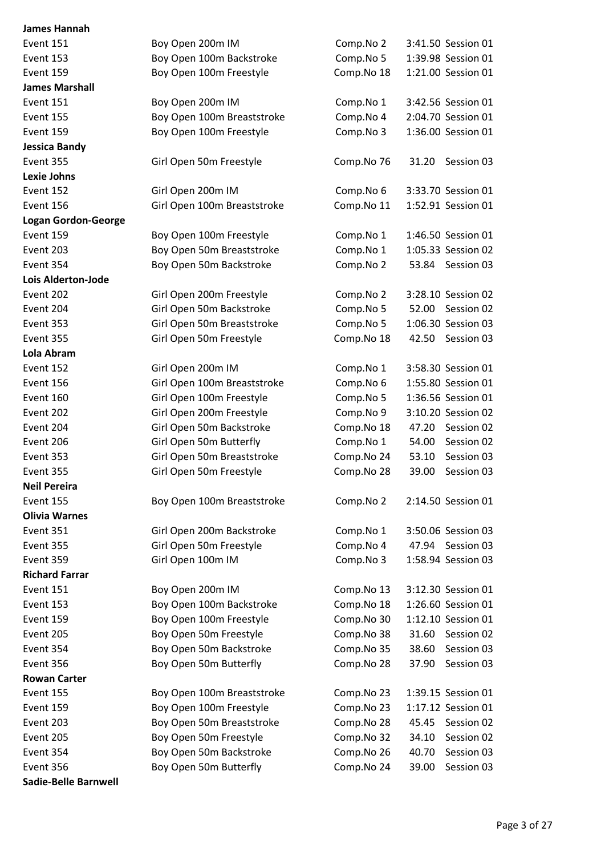**James Hannah** Event 151 Boy Open 200m Event 153 Boy Open 10 Event 159 Boy Open 10 **James Marshall** Event 151 Boy Open 200m Event 155 Boy Open 10 Event 159 Boy Open 10 **Jessica Bandy** Event 355 Girl Open 50 **Lexie Johns** Event 152 Girl Open 20 Event 156 Girl Open 10 **Logan Gordon-George** Event 159 Boy Open 10 Event 203 Boy Open 50 Event 354 Boy Open 50 **Lois Alderton-Jode** Event 202 Girl Open 20 Event 204 Girl Open 50 Event 353 Girl Open 50 Event 355 Girl Open 50 **Lola Abram** Event 152 Girl Open 20 Event 156 Girl Open 10 Event 160 Girl Open 10 Event 202 Girl Open 20 Event 204 Girl Open 50 Event 206 Girl Open 50 Event 353 Girl Open 50 Event 355 Girl Open 50 **Neil Pereira** Event 155 Boy Open 10 **Olivia Warnes** Event 351 Girl Open 20 Event 355 Girl Open 50 Event 359 Girl Open 10 **Richard Farrar** Event 151 Boy Open 20 Event 153 Boy Open 10 Event 159 Boy Open 10 Event 205 Boy Open 50 Event 354 Boy Open 50 Event 356 Boy Open 50 **Rowan Carter** Event 155 Boy Open 10 Event 159 Boy Open 10 Event 203 Boy Open 50 Event 205 Boy Open 50 Event 354 Boy Open 50 Event 356 Boy Open 50 **Sadie-Belle Barnwell**

| 00m IM               | Comp.No 2  |       | 3:41.50 Session 01 |
|----------------------|------------|-------|--------------------|
| 00m Backstroke       | Comp.No 5  |       | 1:39.98 Session 01 |
| 00m Freestyle        | Comp.No 18 |       | 1:21.00 Session 01 |
|                      |            |       |                    |
| 00m IM               | Comp.No 1  |       | 3:42.56 Session 01 |
| 00m Breaststroke     | Comp.No 4  |       | 2:04.70 Session 01 |
| 00m Freestyle        | Comp.No 3  |       | 1:36.00 Session 01 |
|                      |            |       |                    |
| <b>Im Freestyle</b>  | Comp.No 76 | 31.20 | Session 03         |
| 00m IM               | Comp.No 6  |       | 3:33.70 Session 01 |
| 00m Breaststroke     | Comp.No 11 |       | 1:52.91 Session 01 |
| 00m Freestyle        | Comp.No 1  |       | 1:46.50 Session 01 |
| Om Breaststroke      | Comp.No 1  |       | 1:05.33 Session 02 |
| Om Backstroke        | Comp.No 2  | 53.84 | Session 03         |
|                      |            |       |                    |
| 00m Freestyle        | Comp.No 2  |       | 3:28.10 Session 02 |
| <b>Im Backstroke</b> | Comp.No 5  |       | 52.00 Session 02   |
| Om Breaststroke      | Comp.No 5  |       | 1:06.30 Session 03 |
| <b>Im Freestyle</b>  | Comp.No 18 | 42.50 | Session 03         |
|                      |            |       |                    |
| 00m IM               | Comp.No 1  |       | 3:58.30 Session 01 |
| 00m Breaststroke     | Comp.No 6  |       | 1:55.80 Session 01 |
| 00m Freestyle        | Comp.No 5  |       | 1:36.56 Session 01 |
| 00m Freestyle        | Comp.No 9  |       | 3:10.20 Session 02 |
| Om Backstroke        | Comp.No 18 | 47.20 | Session 02         |
| )m Butterfly         | Comp.No 1  |       | 54.00 Session 02   |
| Om Breaststroke      | Comp.No 24 | 53.10 | Session 03         |
| <b>Im Freestyle</b>  | Comp.No 28 | 39.00 | Session 03         |
| 00m Breaststroke     | Comp.No 2  |       | 2:14.50 Session 01 |
| 00m Backstroke       | Comp.No 1  |       | 3:50.06 Session 03 |
| <b>Im Freestyle</b>  | Comp.No 4  |       | 47.94 Session 03   |
| 00m IM               | Comp.No 3  |       | 1:58.94 Session 03 |
| 00m IM               | Comp.No 13 |       | 3:12.30 Session 01 |
| 00m Backstroke       | Comp.No 18 |       | 1:26.60 Session 01 |
| 00m Freestyle        | Comp.No 30 |       | 1:12.10 Session 01 |
| 0m Freestyle         | Comp.No 38 |       | 31.60 Session 02   |
| Om Backstroke        | Comp.No 35 | 38.60 | Session 03         |
| Om Butterfly         | Comp.No 28 | 37.90 | Session 03         |
| 00m Breaststroke     | Comp.No 23 |       | 1:39.15 Session 01 |
| 00m Freestyle        | Comp.No 23 |       | 1:17.12 Session 01 |
| Om Breaststroke      | Comp.No 28 |       | 45.45 Session 02   |
| 0m Freestyle         | Comp.No 32 | 34.10 | Session 02         |
| Om Backstroke        | Comp.No 26 | 40.70 | Session 03         |
| Om Butterfly         | Comp.No 24 | 39.00 | Session 03         |
|                      |            |       |                    |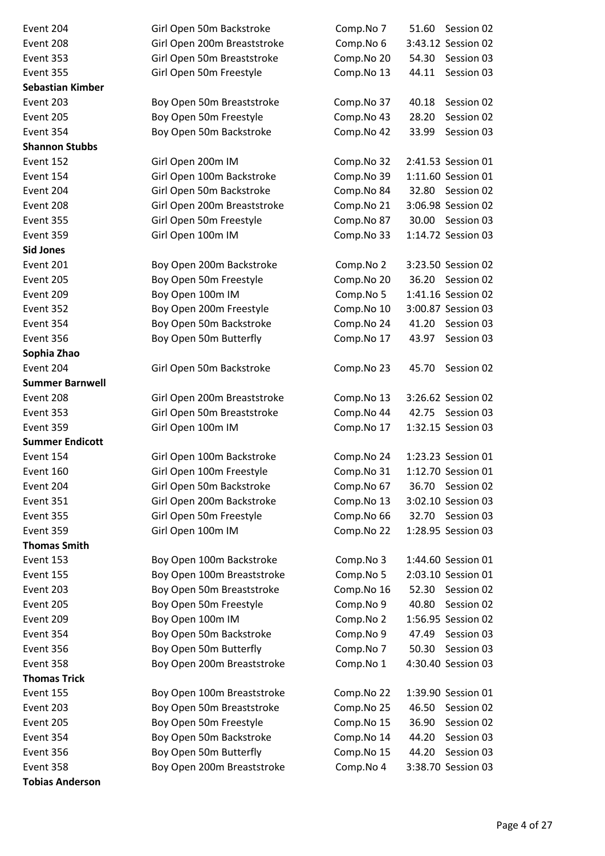| Event 204               | Girl Open 50m Backstroke    | Comp.No 7  | 51.60<br>Session 02 |
|-------------------------|-----------------------------|------------|---------------------|
| Event 208               | Girl Open 200m Breaststroke | Comp.No 6  | 3:43.12 Session 02  |
| Event 353               | Girl Open 50m Breaststroke  | Comp.No 20 | 54.30<br>Session 03 |
| Event 355               | Girl Open 50m Freestyle     | Comp.No 13 | Session 03<br>44.11 |
| <b>Sebastian Kimber</b> |                             |            |                     |
| Event 203               | Boy Open 50m Breaststroke   | Comp.No 37 | Session 02<br>40.18 |
| Event 205               | Boy Open 50m Freestyle      | Comp.No 43 | Session 02<br>28.20 |
| Event 354               | Boy Open 50m Backstroke     | Comp.No 42 | 33.99<br>Session 03 |
| <b>Shannon Stubbs</b>   |                             |            |                     |
| Event 152               | Girl Open 200m IM           | Comp.No 32 | 2:41.53 Session 01  |
| Event 154               | Girl Open 100m Backstroke   | Comp.No 39 | 1:11.60 Session 01  |
| Event 204               | Girl Open 50m Backstroke    | Comp.No 84 | 32.80 Session 02    |
| Event 208               | Girl Open 200m Breaststroke | Comp.No 21 | 3:06.98 Session 02  |
| Event 355               | Girl Open 50m Freestyle     | Comp.No 87 | Session 03<br>30.00 |
| Event 359               | Girl Open 100m IM           | Comp.No 33 | 1:14.72 Session 03  |
| <b>Sid Jones</b>        |                             |            |                     |
| Event 201               | Boy Open 200m Backstroke    | Comp.No 2  | 3:23.50 Session 02  |
| Event 205               | Boy Open 50m Freestyle      | Comp.No 20 | 36.20<br>Session 02 |
| Event 209               | Boy Open 100m IM            | Comp.No 5  | 1:41.16 Session 02  |
| Event 352               | Boy Open 200m Freestyle     | Comp.No 10 | 3:00.87 Session 03  |
| Event 354               | Boy Open 50m Backstroke     | Comp.No 24 | 41.20<br>Session 03 |
| Event 356               | Boy Open 50m Butterfly      | Comp.No 17 | Session 03<br>43.97 |
| Sophia Zhao             |                             |            |                     |
| Event 204               | Girl Open 50m Backstroke    | Comp.No 23 | 45.70<br>Session 02 |
| <b>Summer Barnwell</b>  |                             |            |                     |
| Event 208               | Girl Open 200m Breaststroke | Comp.No 13 | 3:26.62 Session 02  |
| Event 353               | Girl Open 50m Breaststroke  | Comp.No 44 | 42.75<br>Session 03 |
| Event 359               | Girl Open 100m IM           | Comp.No 17 | 1:32.15 Session 03  |
| <b>Summer Endicott</b>  |                             |            |                     |
| Event 154               | Girl Open 100m Backstroke   | Comp.No 24 | 1:23.23 Session 01  |
| Event 160               | Girl Open 100m Freestyle    | Comp.No 31 | 1:12.70 Session 01  |
| Event 204               | Girl Open 50m Backstroke    | Comp.No 67 | Session 02<br>36.70 |
| Event 351               | Girl Open 200m Backstroke   | Comp.No 13 | 3:02.10 Session 03  |
| Event 355               | Girl Open 50m Freestyle     | Comp.No 66 | 32.70 Session 03    |
| Event 359               | Girl Open 100m IM           | Comp.No 22 | 1:28.95 Session 03  |
| <b>Thomas Smith</b>     |                             |            |                     |
| Event 153               | Boy Open 100m Backstroke    | Comp.No 3  | 1:44.60 Session 01  |
| Event 155               | Boy Open 100m Breaststroke  | Comp.No 5  | 2:03.10 Session 01  |
| Event 203               | Boy Open 50m Breaststroke   | Comp.No 16 | 52.30<br>Session 02 |
| Event 205               | Boy Open 50m Freestyle      | Comp.No 9  | Session 02<br>40.80 |
| Event 209               | Boy Open 100m IM            | Comp.No 2  | 1:56.95 Session 02  |
| Event 354               | Boy Open 50m Backstroke     | Comp.No 9  | 47.49<br>Session 03 |
| Event 356               | Boy Open 50m Butterfly      | Comp.No 7  | Session 03<br>50.30 |
| Event 358               | Boy Open 200m Breaststroke  | Comp.No 1  | 4:30.40 Session 03  |
| <b>Thomas Trick</b>     |                             |            |                     |
| Event 155               | Boy Open 100m Breaststroke  | Comp.No 22 | 1:39.90 Session 01  |
| Event 203               | Boy Open 50m Breaststroke   | Comp.No 25 | 46.50<br>Session 02 |
| Event 205               | Boy Open 50m Freestyle      | Comp.No 15 | Session 02<br>36.90 |
| Event 354               | Boy Open 50m Backstroke     | Comp.No 14 | Session 03<br>44.20 |
| Event 356               | Boy Open 50m Butterfly      | Comp.No 15 | Session 03<br>44.20 |
| Event 358               | Boy Open 200m Breaststroke  | Comp.No 4  | 3:38.70 Session 03  |
| <b>Tobias Anderson</b>  |                             |            |                     |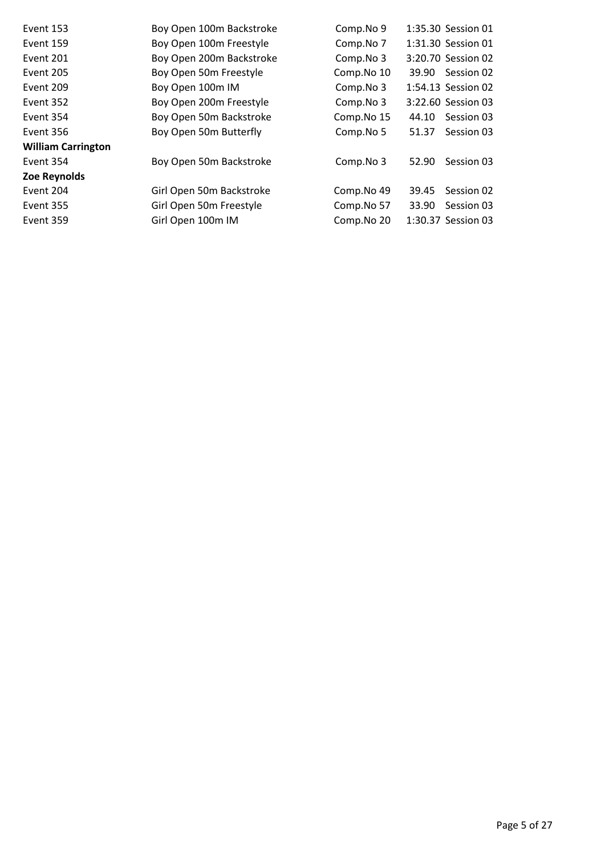| <b>Event 153</b>          | Boy Open 100m Backstroke | Comp.No 9  |       | 1:35.30 Session 01 |
|---------------------------|--------------------------|------------|-------|--------------------|
| Event 159                 | Boy Open 100m Freestyle  | Comp.No 7  |       | 1:31.30 Session 01 |
| Event 201                 | Boy Open 200m Backstroke | Comp.No 3  |       | 3:20.70 Session 02 |
| Event 205                 | Boy Open 50m Freestyle   | Comp.No 10 |       | 39.90 Session 02   |
| Event 209                 | Boy Open 100m IM         | Comp.No 3  |       | 1:54.13 Session 02 |
| Event 352                 | Boy Open 200m Freestyle  | Comp.No 3  |       | 3:22.60 Session 03 |
| Event 354                 | Boy Open 50m Backstroke  | Comp.No 15 | 44.10 | Session 03         |
| Event 356                 | Boy Open 50m Butterfly   | Comp.No 5  | 51.37 | Session 03         |
| <b>William Carrington</b> |                          |            |       |                    |
| Event 354                 | Boy Open 50m Backstroke  | Comp.No 3  | 52.90 | Session 03         |
| Zoe Reynolds              |                          |            |       |                    |
| Event 204                 | Girl Open 50m Backstroke | Comp.No 49 | 39.45 | Session 02         |
| Event 355                 | Girl Open 50m Freestyle  | Comp.No 57 | 33.90 | Session 03         |
| Event 359                 | Girl Open 100m IM        | Comp.No 20 |       | 1:30.37 Session 03 |
|                           |                          |            |       |                    |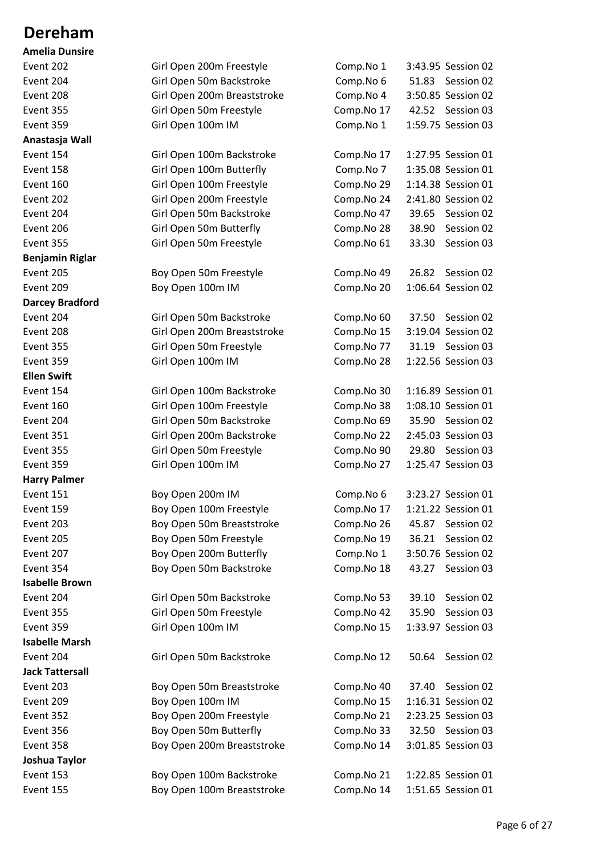#### **Dereham**

| <b>Amelia Dunsire</b>            |
|----------------------------------|
| Event 202                        |
| Event 204                        |
| Event 208                        |
| Event 355                        |
| Event 359                        |
| Anastasja Wall                   |
| Event 154                        |
| Event 158                        |
| Event 160                        |
| Event 202                        |
| Event 204                        |
| Event 206                        |
| Event 355                        |
| <b>Benjamin Riglar</b>           |
| Event 205                        |
| Event 209                        |
| <b>Darcey Bradford</b>           |
| Event 204                        |
| Event 208                        |
| Event 355                        |
| Event 359                        |
| <b>Ellen Swift</b>               |
| Event 154                        |
| Event 160                        |
| Event 204                        |
| Event 351                        |
| Event 355                        |
|                                  |
| Event 359<br><b>Harry Palmer</b> |
|                                  |
| Event 151<br>Event 159           |
| Event 203                        |
| Event 205                        |
|                                  |
| Event 207                        |
| Event 354                        |
| <b>Isabelle Brown</b>            |
| Event 204                        |
| Event 355                        |
| Event 359                        |
| <b>Isabelle Marsh</b>            |
| Event 204                        |
| Jack Tattersall                  |
| Event 203                        |
| Event 209                        |
| Event 352                        |
| Event 356                        |
| Event 358                        |
| Joshua Taylor                    |
| Event 153                        |

| Event 202              | Girl Open 200m Freestyle    | Comp.No 1  | 3:43.95 Session 02  |
|------------------------|-----------------------------|------------|---------------------|
| Event 204              | Girl Open 50m Backstroke    | Comp.No 6  | 51.83 Session 02    |
| Event 208              | Girl Open 200m Breaststroke | Comp.No 4  | 3:50.85 Session 02  |
| Event 355              | Girl Open 50m Freestyle     | Comp.No 17 | 42.52 Session 03    |
| Event 359              | Girl Open 100m IM           | Comp.No 1  | 1:59.75 Session 03  |
| Anastasja Wall         |                             |            |                     |
| Event 154              | Girl Open 100m Backstroke   | Comp.No 17 | 1:27.95 Session 01  |
| Event 158              | Girl Open 100m Butterfly    | Comp.No 7  | 1:35.08 Session 01  |
| Event 160              | Girl Open 100m Freestyle    | Comp.No 29 | 1:14.38 Session 01  |
| Event 202              | Girl Open 200m Freestyle    | Comp.No 24 | 2:41.80 Session 02  |
| Event 204              | Girl Open 50m Backstroke    | Comp.No 47 | 39.65<br>Session 02 |
| Event 206              | Girl Open 50m Butterfly     | Comp.No 28 | 38.90<br>Session 02 |
| Event 355              | Girl Open 50m Freestyle     | Comp.No 61 | 33.30<br>Session 03 |
| <b>Benjamin Riglar</b> |                             |            |                     |
| Event 205              | Boy Open 50m Freestyle      | Comp.No 49 | 26.82<br>Session 02 |
| Event 209              | Boy Open 100m IM            | Comp.No 20 | 1:06.64 Session 02  |
| <b>Darcey Bradford</b> |                             |            |                     |
| Event 204              | Girl Open 50m Backstroke    | Comp.No 60 | 37.50<br>Session 02 |
| Event 208              | Girl Open 200m Breaststroke | Comp.No 15 | 3:19.04 Session 02  |
| Event 355              | Girl Open 50m Freestyle     | Comp.No 77 | 31.19 Session 03    |
| Event 359              | Girl Open 100m IM           | Comp.No 28 | 1:22.56 Session 03  |
| <b>Ellen Swift</b>     |                             |            |                     |
| Event 154              | Girl Open 100m Backstroke   | Comp.No 30 | 1:16.89 Session 01  |
| Event 160              | Girl Open 100m Freestyle    | Comp.No 38 | 1:08.10 Session 01  |
| Event 204              | Girl Open 50m Backstroke    | Comp.No 69 | 35.90 Session 02    |
| Event 351              | Girl Open 200m Backstroke   | Comp.No 22 | 2:45.03 Session 03  |
| Event 355              | Girl Open 50m Freestyle     | Comp.No 90 | 29.80<br>Session 03 |
| Event 359              | Girl Open 100m IM           | Comp.No 27 | 1:25.47 Session 03  |
| <b>Harry Palmer</b>    |                             |            |                     |
| Event 151              | Boy Open 200m IM            | Comp.No 6  | 3:23.27 Session 01  |
| Event 159              | Boy Open 100m Freestyle     | Comp.No 17 | 1:21.22 Session 01  |
| Event 203              | Boy Open 50m Breaststroke   | Comp.No 26 | 45.87<br>Session 02 |
| Event 205              | Boy Open 50m Freestyle      | Comp.No 19 | 36.21<br>Session 02 |
| Event 207              | Boy Open 200m Butterfly     | Comp.No 1  | 3:50.76 Session 02  |
| Event 354              | Boy Open 50m Backstroke     | Comp.No 18 | Session 03<br>43.27 |
| <b>Isabelle Brown</b>  |                             |            |                     |
| Event 204              | Girl Open 50m Backstroke    | Comp.No 53 | 39.10<br>Session 02 |
| Event 355              | Girl Open 50m Freestyle     | Comp.No 42 | Session 03<br>35.90 |
| Event 359              | Girl Open 100m IM           | Comp.No 15 | 1:33.97 Session 03  |
| <b>Isabelle Marsh</b>  |                             |            |                     |
| Event 204              | Girl Open 50m Backstroke    | Comp.No 12 | Session 02<br>50.64 |
| <b>Jack Tattersall</b> |                             |            |                     |
| Event 203              | Boy Open 50m Breaststroke   | Comp.No 40 | 37.40<br>Session 02 |
| Event 209              | Boy Open 100m IM            | Comp.No 15 | 1:16.31 Session 02  |
| Event 352              | Boy Open 200m Freestyle     | Comp.No 21 | 2:23.25 Session 03  |
| Event 356              | Boy Open 50m Butterfly      | Comp.No 33 | 32.50 Session 03    |
| Event 358              | Boy Open 200m Breaststroke  | Comp.No 14 | 3:01.85 Session 03  |
| Joshua Taylor          |                             |            |                     |
| Event 153              | Boy Open 100m Backstroke    | Comp.No 21 | 1:22.85 Session 01  |
| Event 155              | Boy Open 100m Breaststroke  | Comp.No 14 | 1:51.65 Session 01  |
|                        |                             |            |                     |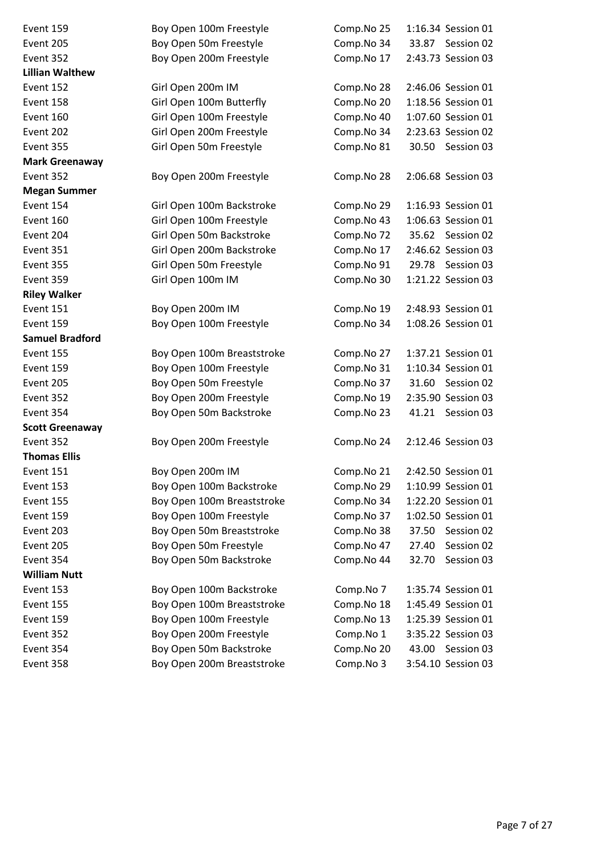| Event 159              | Boy Open 100m Freestyle    | Comp.No 25 | 1:16.34 Session 01  |
|------------------------|----------------------------|------------|---------------------|
| Event 205              | Boy Open 50m Freestyle     | Comp.No 34 | 33.87 Session 02    |
| Event 352              | Boy Open 200m Freestyle    | Comp.No 17 | 2:43.73 Session 03  |
| <b>Lillian Walthew</b> |                            |            |                     |
| Event 152              | Girl Open 200m IM          | Comp.No 28 | 2:46.06 Session 01  |
| Event 158              | Girl Open 100m Butterfly   | Comp.No 20 | 1:18.56 Session 01  |
| Event 160              | Girl Open 100m Freestyle   | Comp.No 40 | 1:07.60 Session 01  |
| Event 202              | Girl Open 200m Freestyle   | Comp.No 34 | 2:23.63 Session 02  |
| Event 355              | Girl Open 50m Freestyle    | Comp.No 81 | 30.50 Session 03    |
| <b>Mark Greenaway</b>  |                            |            |                     |
| Event 352              | Boy Open 200m Freestyle    | Comp.No 28 | 2:06.68 Session 03  |
| <b>Megan Summer</b>    |                            |            |                     |
| Event 154              | Girl Open 100m Backstroke  | Comp.No 29 | 1:16.93 Session 01  |
| Event 160              | Girl Open 100m Freestyle   | Comp.No 43 | 1:06.63 Session 01  |
| Event 204              | Girl Open 50m Backstroke   | Comp.No 72 | 35.62 Session 02    |
| Event 351              | Girl Open 200m Backstroke  | Comp.No 17 | 2:46.62 Session 03  |
| Event 355              | Girl Open 50m Freestyle    | Comp.No 91 | 29.78 Session 03    |
| Event 359              | Girl Open 100m IM          | Comp.No 30 | 1:21.22 Session 03  |
| <b>Riley Walker</b>    |                            |            |                     |
| Event 151              | Boy Open 200m IM           | Comp.No 19 | 2:48.93 Session 01  |
| Event 159              | Boy Open 100m Freestyle    | Comp.No 34 | 1:08.26 Session 01  |
| <b>Samuel Bradford</b> |                            |            |                     |
| Event 155              | Boy Open 100m Breaststroke | Comp.No 27 | 1:37.21 Session 01  |
| Event 159              | Boy Open 100m Freestyle    | Comp.No 31 | 1:10.34 Session 01  |
| Event 205              | Boy Open 50m Freestyle     | Comp.No 37 | 31.60 Session 02    |
| Event 352              | Boy Open 200m Freestyle    | Comp.No 19 | 2:35.90 Session 03  |
| Event 354              | Boy Open 50m Backstroke    | Comp.No 23 | 41.21<br>Session 03 |
| <b>Scott Greenaway</b> |                            |            |                     |
| Event 352              | Boy Open 200m Freestyle    | Comp.No 24 | 2:12.46 Session 03  |
| <b>Thomas Ellis</b>    |                            |            |                     |
| Event 151              | Boy Open 200m IM           | Comp.No 21 | 2:42.50 Session 01  |
| Event 153              | Boy Open 100m Backstroke   | Comp.No 29 | 1:10.99 Session 01  |
| Event 155              | Boy Open 100m Breaststroke | Comp.No 34 | 1:22.20 Session 01  |
| Event 159              | Boy Open 100m Freestyle    | Comp.No 37 | 1:02.50 Session 01  |
| Event 203              | Boy Open 50m Breaststroke  | Comp.No 38 | 37.50<br>Session 02 |
| Event 205              | Boy Open 50m Freestyle     | Comp.No 47 | 27.40<br>Session 02 |
| Event 354              | Boy Open 50m Backstroke    | Comp.No 44 | 32.70<br>Session 03 |
| <b>William Nutt</b>    |                            |            |                     |
| Event 153              | Boy Open 100m Backstroke   | Comp.No 7  | 1:35.74 Session 01  |
| Event 155              | Boy Open 100m Breaststroke | Comp.No 18 | 1:45.49 Session 01  |
| Event 159              | Boy Open 100m Freestyle    | Comp.No 13 | 1:25.39 Session 01  |
| Event 352              | Boy Open 200m Freestyle    | Comp.No 1  | 3:35.22 Session 03  |
| Event 354              | Boy Open 50m Backstroke    | Comp.No 20 | 43.00 Session 03    |
| Event 358              | Boy Open 200m Breaststroke | Comp.No 3  | 3:54.10 Session 03  |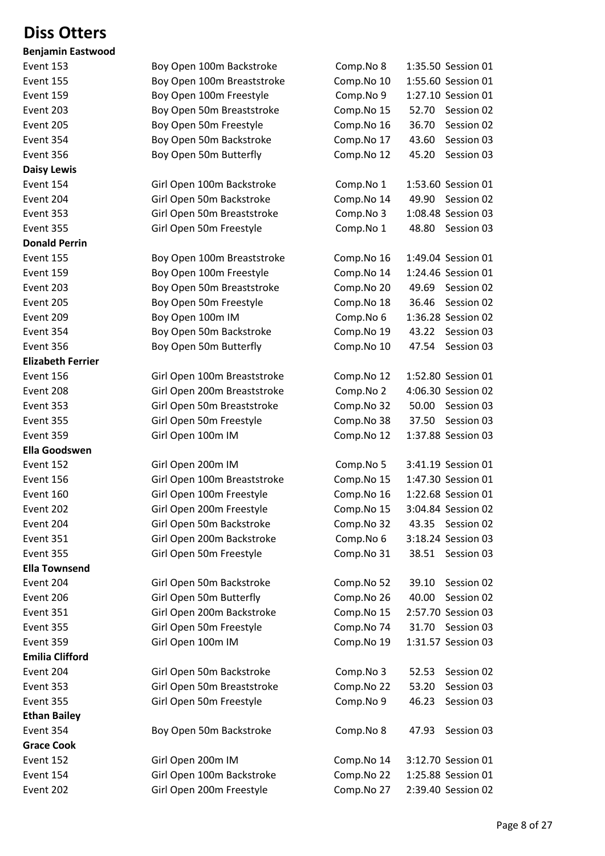## **Diss Otters**

| <b>Benjamin Eastwood</b> |           |
|--------------------------|-----------|
| Event 153                | Boy Ope   |
| Event 155                | Boy Ope   |
| Event 159                | Boy Ope   |
| Event 203                | Boy Ope   |
| Event 205                | Boy Ope   |
| Event 354                | Boy Ope   |
| Event 356                | Boy Ope   |
| <b>Daisy Lewis</b>       |           |
| Event 154                | Girl Oper |
| Event 204                | Girl Oper |
| Event 353                | Girl Oper |
| Event 355                | Girl Oper |
| <b>Donald Perrin</b>     |           |
| Event 155                | Boy Ope   |
| Event 159                | Boy Ope   |
| Event 203                | Boy Ope   |
| Event 205                | Boy Ope   |
| Event 209                | Boy Ope   |
| Event 354                | Boy Ope   |
| Event 356                | Boy Ope   |
| <b>Elizabeth Ferrier</b> |           |
| Event 156                | Girl Oper |
| Event 208                | Girl Oper |
| Event 353                | Girl Oper |
| Event 355                | Girl Oper |
| Event 359                | Girl Oper |
| <b>Ella Goodswen</b>     |           |
| Event 152                | Girl Oper |
| Event 156                | Girl Oper |
| Event 160                | Girl Oper |
| Event 202                | Girl Oper |
| Event 204                | Girl Oper |
| Event 351                | Girl Oper |
| Event 355                | Girl Oper |
| <b>Ella Townsend</b>     |           |
| Event 204                | Girl Oper |
| Event 206                | Girl Oper |
| Event 351                | Girl Oper |
| Event 355                | Girl Oper |
| Event 359                | Girl Oper |
| <b>Emilia Clifford</b>   |           |
| Event 204                | Girl Oper |
| Event 353                | Girl Oper |
| Event 355                | Girl Oper |
| <b>Ethan Bailey</b>      |           |
| Event 354                | Boy Ope   |
| <b>Grace Cook</b>        |           |
| Event 152                | Girl Oper |
| Event 154                | Girl Oper |
|                          |           |

| DCHJAHIIII LASLWOOU      |                             |            |                     |
|--------------------------|-----------------------------|------------|---------------------|
| Event 153                | Boy Open 100m Backstroke    | Comp.No 8  | 1:35.50 Session 01  |
| Event 155                | Boy Open 100m Breaststroke  | Comp.No 10 | 1:55.60 Session 01  |
| Event 159                | Boy Open 100m Freestyle     | Comp.No 9  | 1:27.10 Session 01  |
| Event 203                | Boy Open 50m Breaststroke   | Comp.No 15 | 52.70<br>Session 02 |
| Event 205                | Boy Open 50m Freestyle      | Comp.No 16 | 36.70<br>Session 02 |
| Event 354                | Boy Open 50m Backstroke     | Comp.No 17 | 43.60<br>Session 03 |
| Event 356                | Boy Open 50m Butterfly      | Comp.No 12 | 45.20<br>Session 03 |
| <b>Daisy Lewis</b>       |                             |            |                     |
| Event 154                | Girl Open 100m Backstroke   | Comp.No 1  | 1:53.60 Session 01  |
| Event 204                | Girl Open 50m Backstroke    | Comp.No 14 | 49.90 Session 02    |
| Event 353                | Girl Open 50m Breaststroke  | Comp.No 3  | 1:08.48 Session 03  |
| Event 355                | Girl Open 50m Freestyle     | Comp.No 1  | 48.80 Session 03    |
| <b>Donald Perrin</b>     |                             |            |                     |
| Event 155                | Boy Open 100m Breaststroke  | Comp.No 16 | 1:49.04 Session 01  |
| Event 159                | Boy Open 100m Freestyle     | Comp.No 14 | 1:24.46 Session 01  |
| Event 203                | Boy Open 50m Breaststroke   | Comp.No 20 | 49.69<br>Session 02 |
| Event 205                | Boy Open 50m Freestyle      | Comp.No 18 | 36.46<br>Session 02 |
| Event 209                | Boy Open 100m IM            | Comp.No 6  | 1:36.28 Session 02  |
| Event 354                | Boy Open 50m Backstroke     | Comp.No 19 | 43.22<br>Session 03 |
| Event 356                | Boy Open 50m Butterfly      | Comp.No 10 | 47.54<br>Session 03 |
| <b>Elizabeth Ferrier</b> |                             |            |                     |
| Event 156                | Girl Open 100m Breaststroke | Comp.No 12 | 1:52.80 Session 01  |
| Event 208                | Girl Open 200m Breaststroke | Comp.No 2  | 4:06.30 Session 02  |
| Event 353                | Girl Open 50m Breaststroke  | Comp.No 32 | 50.00 Session 03    |
| Event 355                | Girl Open 50m Freestyle     | Comp.No 38 | Session 03<br>37.50 |
| Event 359                | Girl Open 100m IM           | Comp.No 12 | 1:37.88 Session 03  |
| <b>Ella Goodswen</b>     |                             |            |                     |
| Event 152                | Girl Open 200m IM           | Comp.No 5  | 3:41.19 Session 01  |
| Event 156                | Girl Open 100m Breaststroke | Comp.No 15 | 1:47.30 Session 01  |
| Event 160                | Girl Open 100m Freestyle    | Comp.No 16 | 1:22.68 Session 01  |
| Event 202                | Girl Open 200m Freestyle    | Comp.No 15 | 3:04.84 Session 02  |
| Event 204                | Girl Open 50m Backstroke    | Comp.No 32 | Session 02<br>43.35 |
| Event 351                | Girl Open 200m Backstroke   | Comp.No 6  | 3:18.24 Session 03  |
| Event 355                | Girl Open 50m Freestyle     | Comp.No 31 | 38.51 Session 03    |
| <b>Ella Townsend</b>     |                             |            |                     |
| Event 204                | Girl Open 50m Backstroke    | Comp.No 52 | Session 02<br>39.10 |
| Event 206                | Girl Open 50m Butterfly     | Comp.No 26 | 40.00<br>Session 02 |
| Event 351                | Girl Open 200m Backstroke   | Comp.No 15 | 2:57.70 Session 03  |
| Event 355                | Girl Open 50m Freestyle     | Comp.No 74 | Session 03<br>31.70 |
| Event 359                | Girl Open 100m IM           | Comp.No 19 | 1:31.57 Session 03  |
| <b>Emilia Clifford</b>   |                             |            |                     |
| Event 204                | Girl Open 50m Backstroke    | Comp.No 3  | Session 02<br>52.53 |
| Event 353                | Girl Open 50m Breaststroke  | Comp.No 22 | Session 03<br>53.20 |
| Event 355                | Girl Open 50m Freestyle     | Comp.No 9  | 46.23<br>Session 03 |
| <b>Ethan Bailey</b>      |                             |            |                     |
| Event 354                | Boy Open 50m Backstroke     | Comp.No 8  | Session 03<br>47.93 |
| <b>Grace Cook</b>        |                             |            |                     |
| Event 152                | Girl Open 200m IM           | Comp.No 14 | 3:12.70 Session 01  |
| Event 154                |                             | Comp.No 22 |                     |
|                          | Girl Open 100m Backstroke   |            | 1:25.88 Session 01  |
| Event 202                | Girl Open 200m Freestyle    | Comp.No 27 | 2:39.40 Session 02  |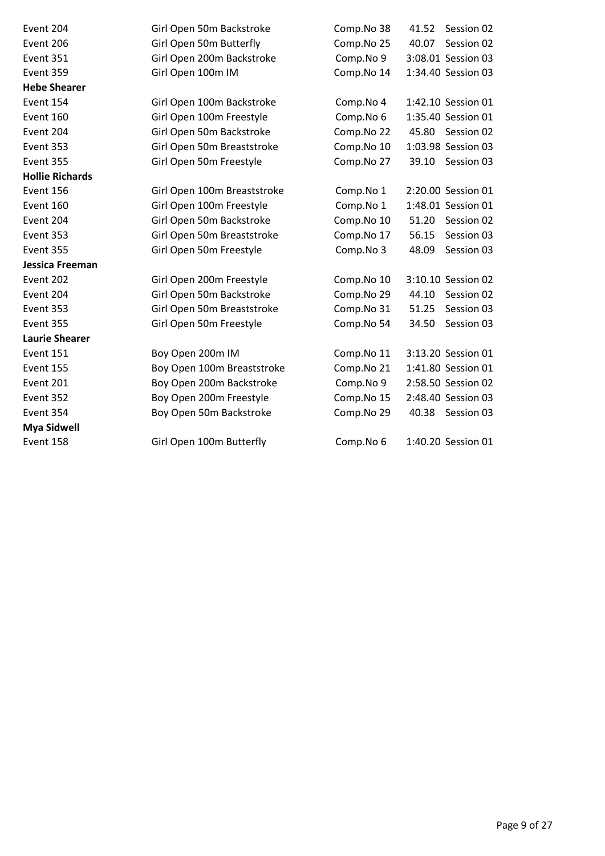| Event 204              | Girl Open 50m Backstroke    | Comp.No 38 | 41.52<br>Session 02 |
|------------------------|-----------------------------|------------|---------------------|
| Event 206              | Girl Open 50m Butterfly     | Comp.No 25 | Session 02<br>40.07 |
| Event 351              | Girl Open 200m Backstroke   | Comp.No 9  | 3:08.01 Session 03  |
| Event 359              | Girl Open 100m IM           | Comp.No 14 | 1:34.40 Session 03  |
| <b>Hebe Shearer</b>    |                             |            |                     |
| Event 154              | Girl Open 100m Backstroke   | Comp.No 4  | 1:42.10 Session 01  |
| Event 160              | Girl Open 100m Freestyle    | Comp.No 6  | 1:35.40 Session 01  |
| Event 204              | Girl Open 50m Backstroke    | Comp.No 22 | 45.80 Session 02    |
| Event 353              | Girl Open 50m Breaststroke  | Comp.No 10 | 1:03.98 Session 03  |
| Event 355              | Girl Open 50m Freestyle     | Comp.No 27 | 39.10 Session 03    |
| <b>Hollie Richards</b> |                             |            |                     |
| Event 156              | Girl Open 100m Breaststroke | Comp.No 1  | 2:20.00 Session 01  |
| Event 160              | Girl Open 100m Freestyle    | Comp.No 1  | 1:48.01 Session 01  |
| Event 204              | Girl Open 50m Backstroke    | Comp.No 10 | 51.20<br>Session 02 |
| Event 353              | Girl Open 50m Breaststroke  | Comp.No 17 | 56.15<br>Session 03 |
| Event 355              | Girl Open 50m Freestyle     | Comp.No 3  | 48.09<br>Session 03 |
| Jessica Freeman        |                             |            |                     |
| Event 202              | Girl Open 200m Freestyle    | Comp.No 10 | 3:10.10 Session 02  |
| Event 204              | Girl Open 50m Backstroke    | Comp.No 29 | 44.10<br>Session 02 |
| Event 353              | Girl Open 50m Breaststroke  | Comp.No 31 | Session 03<br>51.25 |
| Event 355              | Girl Open 50m Freestyle     | Comp.No 54 | Session 03<br>34.50 |
| <b>Laurie Shearer</b>  |                             |            |                     |
| Event 151              | Boy Open 200m IM            | Comp.No 11 | 3:13.20 Session 01  |
| Event 155              | Boy Open 100m Breaststroke  | Comp.No 21 | 1:41.80 Session 01  |
| Event 201              | Boy Open 200m Backstroke    | Comp.No 9  | 2:58.50 Session 02  |
| Event 352              | Boy Open 200m Freestyle     | Comp.No 15 | 2:48.40 Session 03  |
| Event 354              | Boy Open 50m Backstroke     | Comp.No 29 | 40.38 Session 03    |
| <b>Mya Sidwell</b>     |                             |            |                     |
| Event 158              | Girl Open 100m Butterfly    | Comp.No 6  | 1:40.20 Session 01  |
|                        |                             |            |                     |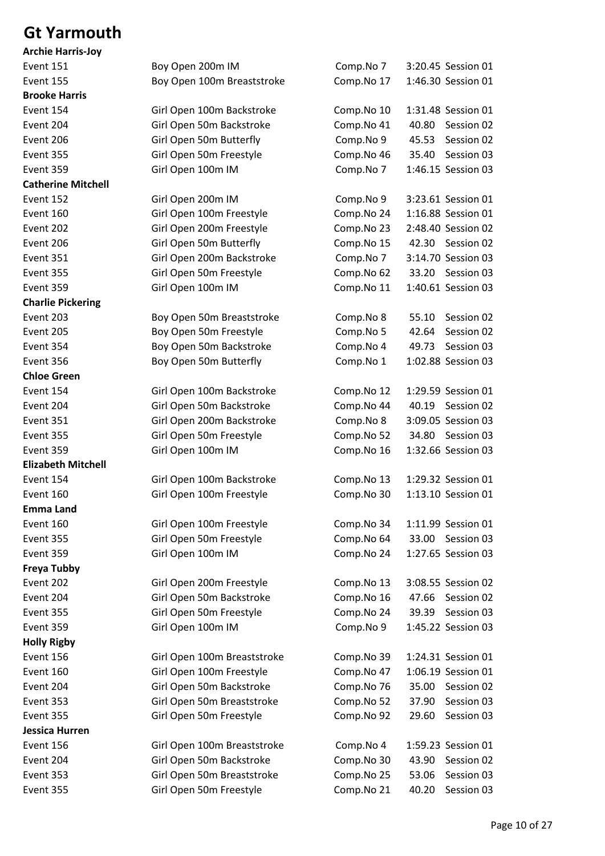### **Gt Yarmouth**

| <b>Event 151</b>          | Boy Open 200m IM            | Comp.No 7  | 3:20.45 Session 01  |
|---------------------------|-----------------------------|------------|---------------------|
| Event 155                 | Boy Open 100m Breaststroke  | Comp.No 17 | 1:46.30 Session 01  |
| <b>Brooke Harris</b>      |                             |            |                     |
| Event 154                 | Girl Open 100m Backstroke   | Comp.No 10 | 1:31.48 Session 01  |
| Event 204                 | Girl Open 50m Backstroke    | Comp.No 41 | 40.80<br>Session 02 |
| Event 206                 | Girl Open 50m Butterfly     | Comp.No 9  | 45.53<br>Session 02 |
| Event 355                 | Girl Open 50m Freestyle     | Comp.No 46 | Session 03<br>35.40 |
| Event 359                 | Girl Open 100m IM           | Comp.No 7  | 1:46.15 Session 03  |
| <b>Catherine Mitchell</b> |                             |            |                     |
| Event 152                 | Girl Open 200m IM           | Comp.No 9  | 3:23.61 Session 01  |
| Event 160                 | Girl Open 100m Freestyle    | Comp.No 24 | 1:16.88 Session 01  |
| Event 202                 | Girl Open 200m Freestyle    | Comp.No 23 | 2:48.40 Session 02  |
| Event 206                 | Girl Open 50m Butterfly     | Comp.No 15 | 42.30 Session 02    |
| <b>Event 351</b>          | Girl Open 200m Backstroke   | Comp.No 7  | 3:14.70 Session 03  |
| Event 355                 | Girl Open 50m Freestyle     | Comp.No 62 | 33.20 Session 03    |
| Event 359                 | Girl Open 100m IM           | Comp.No 11 | 1:40.61 Session 03  |
| <b>Charlie Pickering</b>  |                             |            |                     |
| Event 203                 | Boy Open 50m Breaststroke   | Comp.No 8  | 55.10<br>Session 02 |
| Event 205                 | Boy Open 50m Freestyle      | Comp.No 5  | 42.64<br>Session 02 |
| Event 354                 | Boy Open 50m Backstroke     | Comp.No 4  | 49.73<br>Session 03 |
| Event 356                 | Boy Open 50m Butterfly      | Comp.No 1  | 1:02.88 Session 03  |
| <b>Chloe Green</b>        |                             |            |                     |
| Event 154                 | Girl Open 100m Backstroke   | Comp.No 12 | 1:29.59 Session 01  |
| Event 204                 | Girl Open 50m Backstroke    | Comp.No 44 | 40.19 Session 02    |
| Event 351                 | Girl Open 200m Backstroke   | Comp.No 8  | 3:09.05 Session 03  |
| Event 355                 | Girl Open 50m Freestyle     | Comp.No 52 | 34.80 Session 03    |
| Event 359                 | Girl Open 100m IM           | Comp.No 16 | 1:32.66 Session 03  |
| <b>Elizabeth Mitchell</b> |                             |            |                     |
| Event 154                 | Girl Open 100m Backstroke   | Comp.No 13 | 1:29.32 Session 01  |
| Event 160                 | Girl Open 100m Freestyle    | Comp.No 30 | 1:13.10 Session 01  |
| Emma Land                 |                             |            |                     |
| Event 160                 | Girl Open 100m Freestyle    | Comp.No 34 | 1:11.99 Session 01  |
| Event 355                 | Girl Open 50m Freestyle     | Comp.No 64 | 33.00<br>Session 03 |
| Event 359                 | Girl Open 100m IM           | Comp.No 24 | 1:27.65 Session 03  |
| Freya Tubby               |                             |            |                     |
| Event 202                 | Girl Open 200m Freestyle    | Comp.No 13 | 3:08.55 Session 02  |
| Event 204                 | Girl Open 50m Backstroke    | Comp.No 16 | 47.66<br>Session 02 |
| Event 355                 | Girl Open 50m Freestyle     | Comp.No 24 | Session 03<br>39.39 |
| Event 359                 | Girl Open 100m IM           | Comp.No 9  | 1:45.22 Session 03  |
| <b>Holly Rigby</b>        |                             |            |                     |
| Event 156                 | Girl Open 100m Breaststroke | Comp.No 39 | 1:24.31 Session 01  |
| Event 160                 | Girl Open 100m Freestyle    | Comp.No 47 | 1:06.19 Session 01  |
| Event 204                 | Girl Open 50m Backstroke    | Comp.No 76 | 35.00<br>Session 02 |
| Event 353                 | Girl Open 50m Breaststroke  | Comp.No 52 | Session 03<br>37.90 |
| Event 355                 | Girl Open 50m Freestyle     | Comp.No 92 | 29.60<br>Session 03 |
| Jessica Hurren            |                             |            |                     |
| Event 156                 | Girl Open 100m Breaststroke | Comp.No 4  | 1:59.23 Session 01  |
| Event 204                 | Girl Open 50m Backstroke    | Comp.No 30 | 43.90<br>Session 02 |
| Event 353                 | Girl Open 50m Breaststroke  | Comp.No 25 | Session 03<br>53.06 |
| Event 355                 | Girl Open 50m Freestyle     | Comp.No 21 | Session 03<br>40.20 |
|                           |                             |            |                     |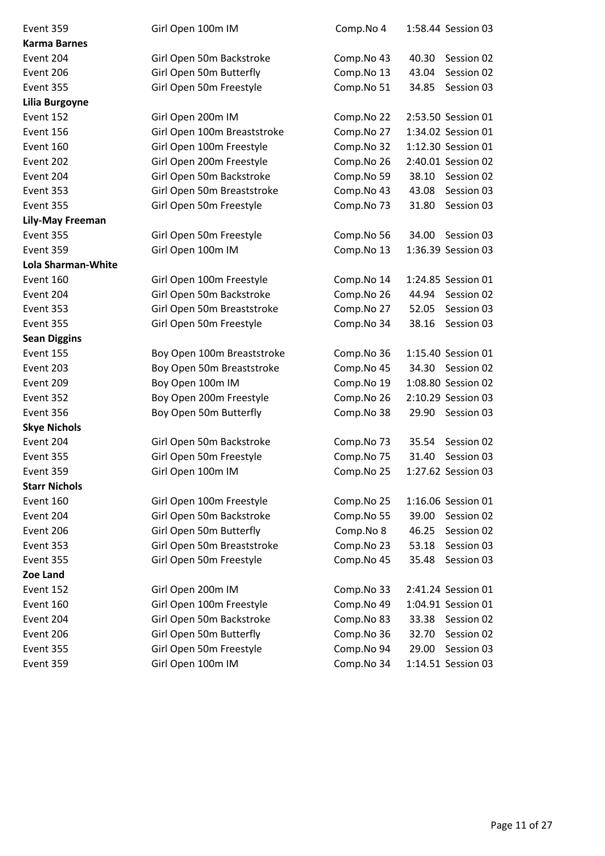| Event 359            | Girl Open 100m IM           | Comp.No 4  | 1:58.44 Session 03  |
|----------------------|-----------------------------|------------|---------------------|
| <b>Karma Barnes</b>  |                             |            |                     |
| Event 204            | Girl Open 50m Backstroke    | Comp.No 43 | 40.30<br>Session 02 |
| Event 206            | Girl Open 50m Butterfly     | Comp.No 13 | 43.04<br>Session 02 |
| Event 355            | Girl Open 50m Freestyle     | Comp.No 51 | 34.85<br>Session 03 |
| Lilia Burgoyne       |                             |            |                     |
| Event 152            | Girl Open 200m IM           | Comp.No 22 | 2:53.50 Session 01  |
| Event 156            | Girl Open 100m Breaststroke | Comp.No 27 | 1:34.02 Session 01  |
| Event 160            | Girl Open 100m Freestyle    | Comp.No 32 | 1:12.30 Session 01  |
| Event 202            | Girl Open 200m Freestyle    | Comp.No 26 | 2:40.01 Session 02  |
| Event 204            | Girl Open 50m Backstroke    | Comp.No 59 | 38.10<br>Session 02 |
| Event 353            | Girl Open 50m Breaststroke  | Comp.No 43 | 43.08<br>Session 03 |
| Event 355            | Girl Open 50m Freestyle     | Comp.No 73 | 31.80<br>Session 03 |
| Lily-May Freeman     |                             |            |                     |
| Event 355            | Girl Open 50m Freestyle     | Comp.No 56 | 34.00<br>Session 03 |
| Event 359            | Girl Open 100m IM           | Comp.No 13 | 1:36.39 Session 03  |
| Lola Sharman-White   |                             |            |                     |
| Event 160            | Girl Open 100m Freestyle    | Comp.No 14 | 1:24.85 Session 01  |
| Event 204            | Girl Open 50m Backstroke    | Comp.No 26 | 44.94<br>Session 02 |
| Event 353            | Girl Open 50m Breaststroke  | Comp.No 27 | 52.05<br>Session 03 |
| Event 355            | Girl Open 50m Freestyle     | Comp.No 34 | 38.16<br>Session 03 |
| <b>Sean Diggins</b>  |                             |            |                     |
| Event 155            | Boy Open 100m Breaststroke  | Comp.No 36 | 1:15.40 Session 01  |
| Event 203            | Boy Open 50m Breaststroke   | Comp.No 45 | 34.30<br>Session 02 |
| Event 209            | Boy Open 100m IM            | Comp.No 19 | 1:08.80 Session 02  |
| Event 352            | Boy Open 200m Freestyle     | Comp.No 26 | 2:10.29 Session 03  |
| Event 356            | Boy Open 50m Butterfly      | Comp.No 38 | 29.90<br>Session 03 |
| <b>Skye Nichols</b>  |                             |            |                     |
| Event 204            | Girl Open 50m Backstroke    | Comp.No 73 | 35.54<br>Session 02 |
| Event 355            | Girl Open 50m Freestyle     | Comp.No 75 | 31.40<br>Session 03 |
| Event 359            | Girl Open 100m IM           | Comp.No 25 | 1:27.62 Session 03  |
| <b>Starr Nichols</b> |                             |            |                     |
| Event 160            | Girl Open 100m Freestyle    | Comp.No 25 | 1:16.06 Session 01  |
| Event 204            | Girl Open 50m Backstroke    | Comp.No 55 | 39.00<br>Session 02 |
| Event 206            | Girl Open 50m Butterfly     | Comp.No 8  | 46.25<br>Session 02 |
| Event 353            | Girl Open 50m Breaststroke  | Comp.No 23 | 53.18<br>Session 03 |
| Event 355            | Girl Open 50m Freestyle     | Comp.No 45 | 35.48<br>Session 03 |
| Zoe Land             |                             |            |                     |
| Event 152            | Girl Open 200m IM           | Comp.No 33 | 2:41.24 Session 01  |
| Event 160            | Girl Open 100m Freestyle    | Comp.No 49 | 1:04.91 Session 01  |
| Event 204            | Girl Open 50m Backstroke    | Comp.No 83 | 33.38<br>Session 02 |
| Event 206            | Girl Open 50m Butterfly     | Comp.No 36 | Session 02<br>32.70 |
| Event 355            | Girl Open 50m Freestyle     | Comp.No 94 | 29.00<br>Session 03 |
| Event 359            | Girl Open 100m IM           | Comp.No 34 | 1:14.51 Session 03  |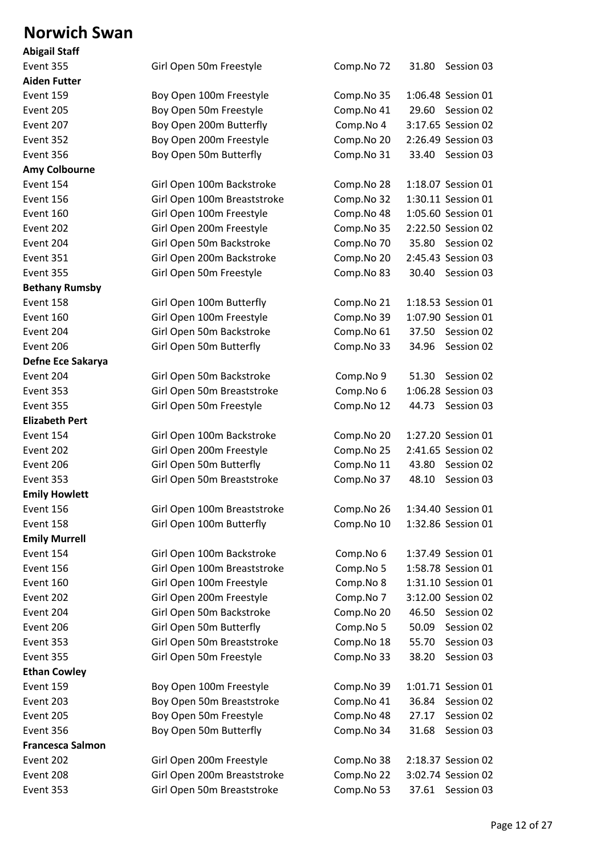#### **Norwich Swan**

| <b>Abigail Staff</b>    |                             |            |                     |  |
|-------------------------|-----------------------------|------------|---------------------|--|
| Event 355               | Girl Open 50m Freestyle     | Comp.No 72 | 31.80<br>Session 03 |  |
| <b>Aiden Futter</b>     |                             |            |                     |  |
| Event 159               | Boy Open 100m Freestyle     | Comp.No 35 | 1:06.48 Session 01  |  |
| Event 205               | Boy Open 50m Freestyle      | Comp.No 41 | 29.60 Session 02    |  |
| Event 207               | Boy Open 200m Butterfly     | Comp.No 4  | 3:17.65 Session 02  |  |
| Event 352               | Boy Open 200m Freestyle     | Comp.No 20 | 2:26.49 Session 03  |  |
| Event 356               | Boy Open 50m Butterfly      | Comp.No 31 | 33.40<br>Session 03 |  |
| <b>Amy Colbourne</b>    |                             |            |                     |  |
| Event 154               | Girl Open 100m Backstroke   | Comp.No 28 | 1:18.07 Session 01  |  |
| Event 156               | Girl Open 100m Breaststroke | Comp.No 32 | 1:30.11 Session 01  |  |
| Event 160               | Girl Open 100m Freestyle    | Comp.No 48 | 1:05.60 Session 01  |  |
| Event 202               | Girl Open 200m Freestyle    | Comp.No 35 | 2:22.50 Session 02  |  |
| Event 204               | Girl Open 50m Backstroke    | Comp.No 70 | Session 02<br>35.80 |  |
| Event 351               | Girl Open 200m Backstroke   | Comp.No 20 | 2:45.43 Session 03  |  |
| Event 355               | Girl Open 50m Freestyle     | Comp.No 83 | 30.40<br>Session 03 |  |
| <b>Bethany Rumsby</b>   |                             |            |                     |  |
| Event 158               | Girl Open 100m Butterfly    | Comp.No 21 | 1:18.53 Session 01  |  |
| Event 160               | Girl Open 100m Freestyle    | Comp.No 39 | 1:07.90 Session 01  |  |
| Event 204               | Girl Open 50m Backstroke    | Comp.No 61 | 37.50<br>Session 02 |  |
| Event 206               | Girl Open 50m Butterfly     | Comp.No 33 | 34.96<br>Session 02 |  |
| Defne Ece Sakarya       |                             |            |                     |  |
| Event 204               | Girl Open 50m Backstroke    | Comp.No 9  | Session 02<br>51.30 |  |
| Event 353               | Girl Open 50m Breaststroke  | Comp.No 6  | 1:06.28 Session 03  |  |
| Event 355               | Girl Open 50m Freestyle     | Comp.No 12 | 44.73<br>Session 03 |  |
| <b>Elizabeth Pert</b>   |                             |            |                     |  |
| Event 154               | Girl Open 100m Backstroke   | Comp.No 20 | 1:27.20 Session 01  |  |
| Event 202               | Girl Open 200m Freestyle    | Comp.No 25 | 2:41.65 Session 02  |  |
| Event 206               | Girl Open 50m Butterfly     | Comp.No 11 | 43.80<br>Session 02 |  |
| Event 353               | Girl Open 50m Breaststroke  | Comp.No 37 | 48.10<br>Session 03 |  |
| <b>Emily Howlett</b>    |                             |            |                     |  |
| Event 156               | Girl Open 100m Breaststroke | Comp.No 26 | 1:34.40 Session 01  |  |
| Event 158               | Girl Open 100m Butterfly    | Comp.No 10 | 1:32.86 Session 01  |  |
| <b>Emily Murrell</b>    |                             |            |                     |  |
| Event 154               | Girl Open 100m Backstroke   | Comp.No 6  | 1:37.49 Session 01  |  |
| Event 156               | Girl Open 100m Breaststroke | Comp.No 5  | 1:58.78 Session 01  |  |
| Event 160               | Girl Open 100m Freestyle    | Comp.No 8  | 1:31.10 Session 01  |  |
| Event 202               | Girl Open 200m Freestyle    | Comp.No 7  | 3:12.00 Session 02  |  |
| Event 204               | Girl Open 50m Backstroke    | Comp.No 20 | 46.50<br>Session 02 |  |
| Event 206               | Girl Open 50m Butterfly     | Comp.No 5  | Session 02<br>50.09 |  |
| Event 353               | Girl Open 50m Breaststroke  | Comp.No 18 | Session 03<br>55.70 |  |
| Event 355               | Girl Open 50m Freestyle     | Comp.No 33 | Session 03<br>38.20 |  |
| <b>Ethan Cowley</b>     |                             |            |                     |  |
| Event 159               | Boy Open 100m Freestyle     | Comp.No 39 | 1:01.71 Session 01  |  |
| Event 203               | Boy Open 50m Breaststroke   | Comp.No 41 | 36.84<br>Session 02 |  |
| Event 205               | Boy Open 50m Freestyle      | Comp.No 48 | 27.17<br>Session 02 |  |
| Event 356               | Boy Open 50m Butterfly      | Comp.No 34 | 31.68<br>Session 03 |  |
| <b>Francesca Salmon</b> |                             |            |                     |  |
| Event 202               | Girl Open 200m Freestyle    | Comp.No 38 | 2:18.37 Session 02  |  |
| Event 208               | Girl Open 200m Breaststroke | Comp.No 22 | 3:02.74 Session 02  |  |
| Event 353               | Girl Open 50m Breaststroke  | Comp.No 53 | 37.61<br>Session 03 |  |
|                         |                             |            |                     |  |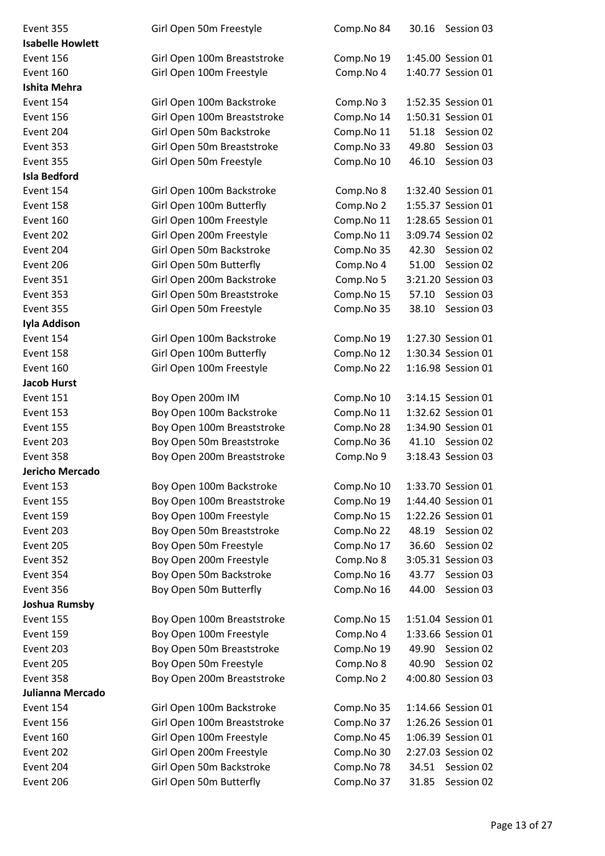| Event 355               | Girl Open 50m Freestyle     | Comp.No 84 | 30.16 | Session 03         |
|-------------------------|-----------------------------|------------|-------|--------------------|
| <b>Isabelle Howlett</b> |                             |            |       |                    |
| Event 156               | Girl Open 100m Breaststroke | Comp.No 19 |       | 1:45.00 Session 01 |
| Event 160               | Girl Open 100m Freestyle    | Comp.No 4  |       | 1:40.77 Session 01 |
| <b>Ishita Mehra</b>     |                             |            |       |                    |
| Event 154               | Girl Open 100m Backstroke   | Comp.No 3  |       | 1:52.35 Session 01 |
| Event 156               | Girl Open 100m Breaststroke | Comp.No 14 |       | 1:50.31 Session 01 |
| Event 204               | Girl Open 50m Backstroke    | Comp.No 11 | 51.18 | Session 02         |
| Event 353               | Girl Open 50m Breaststroke  | Comp.No 33 | 49.80 | Session 03         |
| Event 355               | Girl Open 50m Freestyle     | Comp.No 10 | 46.10 | Session 03         |
| <b>Isla Bedford</b>     |                             |            |       |                    |
| Event 154               | Girl Open 100m Backstroke   | Comp.No 8  |       | 1:32.40 Session 01 |
| Event 158               | Girl Open 100m Butterfly    | Comp.No 2  |       | 1:55.37 Session 01 |
| Event 160               | Girl Open 100m Freestyle    | Comp.No 11 |       | 1:28.65 Session 01 |
| Event 202               | Girl Open 200m Freestyle    | Comp.No 11 |       | 3:09.74 Session 02 |
| Event 204               | Girl Open 50m Backstroke    | Comp.No 35 | 42.30 | Session 02         |
| Event 206               | Girl Open 50m Butterfly     | Comp.No 4  | 51.00 | Session 02         |
| Event 351               | Girl Open 200m Backstroke   | Comp.No 5  |       | 3:21.20 Session 03 |
| Event 353               | Girl Open 50m Breaststroke  | Comp.No 15 | 57.10 | Session 03         |
| Event 355               | Girl Open 50m Freestyle     | Comp.No 35 | 38.10 | Session 03         |
| Iyla Addison            |                             |            |       |                    |
| Event 154               | Girl Open 100m Backstroke   | Comp.No 19 |       | 1:27.30 Session 01 |
| Event 158               | Girl Open 100m Butterfly    | Comp.No 12 |       | 1:30.34 Session 01 |
| Event 160               | Girl Open 100m Freestyle    | Comp.No 22 |       | 1:16.98 Session 01 |
| <b>Jacob Hurst</b>      |                             |            |       |                    |
| Event 151               | Boy Open 200m IM            | Comp.No 10 |       | 3:14.15 Session 01 |
| Event 153               | Boy Open 100m Backstroke    | Comp.No 11 |       | 1:32.62 Session 01 |
| Event 155               | Boy Open 100m Breaststroke  | Comp.No 28 |       | 1:34.90 Session 01 |
| Event 203               | Boy Open 50m Breaststroke   | Comp.No 36 | 41.10 | Session 02         |
| Event 358               | Boy Open 200m Breaststroke  | Comp.No 9  |       | 3:18.43 Session 03 |
| Jericho Mercado         |                             |            |       |                    |
| Event 153               | Boy Open 100m Backstroke    | Comp.No 10 |       | 1:33.70 Session 01 |
| Event 155               | Boy Open 100m Breaststroke  | Comp.No 19 |       | 1:44.40 Session 01 |
| Event 159               | Boy Open 100m Freestyle     | Comp.No 15 |       | 1:22.26 Session 01 |
| Event 203               | Boy Open 50m Breaststroke   | Comp.No 22 | 48.19 | Session 02         |
| Event 205               | Boy Open 50m Freestyle      | Comp.No 17 | 36.60 | Session 02         |
| Event 352               | Boy Open 200m Freestyle     | Comp.No 8  |       | 3:05.31 Session 03 |
| Event 354               | Boy Open 50m Backstroke     | Comp.No 16 | 43.77 | Session 03         |
| Event 356               | Boy Open 50m Butterfly      | Comp.No 16 | 44.00 | Session 03         |
| <b>Joshua Rumsby</b>    |                             |            |       |                    |
| Event 155               | Boy Open 100m Breaststroke  | Comp.No 15 |       | 1:51.04 Session 01 |
| Event 159               | Boy Open 100m Freestyle     | Comp.No 4  |       | 1:33.66 Session 01 |
| Event 203               | Boy Open 50m Breaststroke   | Comp.No 19 | 49.90 | Session 02         |
| Event 205               | Boy Open 50m Freestyle      | Comp.No 8  | 40.90 | Session 02         |
| Event 358               | Boy Open 200m Breaststroke  | Comp.No 2  |       | 4:00.80 Session 03 |
| Julianna Mercado        |                             |            |       |                    |
| Event 154               | Girl Open 100m Backstroke   | Comp.No 35 |       | 1:14.66 Session 01 |
| Event 156               | Girl Open 100m Breaststroke | Comp.No 37 |       | 1:26.26 Session 01 |
| Event 160               | Girl Open 100m Freestyle    | Comp.No 45 |       | 1:06.39 Session 01 |
| Event 202               | Girl Open 200m Freestyle    | Comp.No 30 |       | 2:27.03 Session 02 |
| Event 204               | Girl Open 50m Backstroke    | Comp.No 78 | 34.51 | Session 02         |
| Event 206               | Girl Open 50m Butterfly     | Comp.No 37 | 31.85 | Session 02         |
|                         |                             |            |       |                    |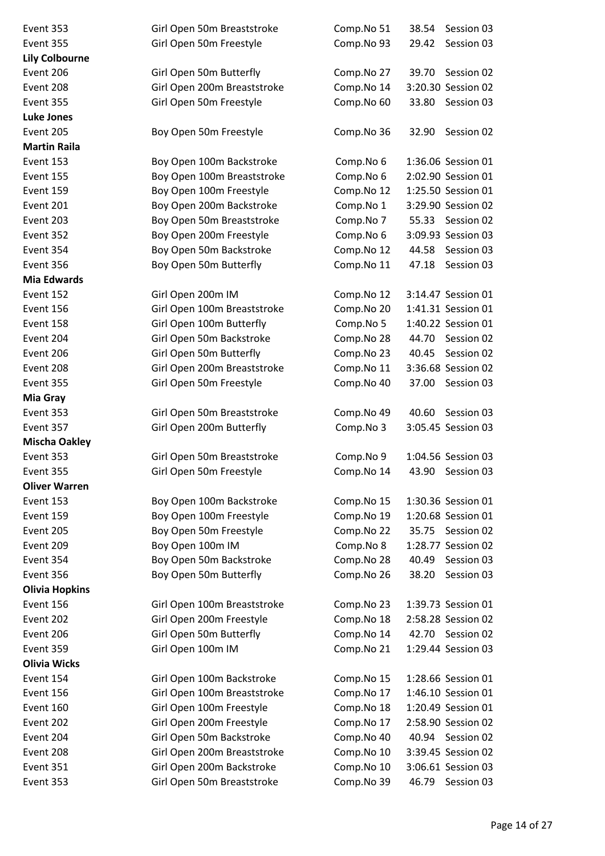| Event 353             | Girl Open 50m Breaststroke  | Comp.No 51 | 38.54<br>Session 03 |
|-----------------------|-----------------------------|------------|---------------------|
| Event 355             | Girl Open 50m Freestyle     | Comp.No 93 | 29.42<br>Session 03 |
| <b>Lily Colbourne</b> |                             |            |                     |
| Event 206             | Girl Open 50m Butterfly     | Comp.No 27 | 39.70<br>Session 02 |
| Event 208             | Girl Open 200m Breaststroke | Comp.No 14 | 3:20.30 Session 02  |
| Event 355             | Girl Open 50m Freestyle     | Comp.No 60 | 33.80<br>Session 03 |
| <b>Luke Jones</b>     |                             |            |                     |
| Event 205             | Boy Open 50m Freestyle      | Comp.No 36 | Session 02<br>32.90 |
| <b>Martin Raila</b>   |                             |            |                     |
| Event 153             | Boy Open 100m Backstroke    | Comp.No 6  | 1:36.06 Session 01  |
| Event 155             | Boy Open 100m Breaststroke  | Comp.No 6  | 2:02.90 Session 01  |
| Event 159             | Boy Open 100m Freestyle     | Comp.No 12 | 1:25.50 Session 01  |
| Event 201             | Boy Open 200m Backstroke    | Comp.No 1  | 3:29.90 Session 02  |
| Event 203             | Boy Open 50m Breaststroke   | Comp.No 7  | 55.33<br>Session 02 |
| Event 352             | Boy Open 200m Freestyle     | Comp.No 6  | 3:09.93 Session 03  |
| Event 354             | Boy Open 50m Backstroke     | Comp.No 12 | 44.58<br>Session 03 |
| Event 356             | Boy Open 50m Butterfly      | Comp.No 11 | Session 03<br>47.18 |
| <b>Mia Edwards</b>    |                             |            |                     |
| Event 152             | Girl Open 200m IM           | Comp.No 12 | 3:14.47 Session 01  |
| Event 156             | Girl Open 100m Breaststroke | Comp.No 20 | 1:41.31 Session 01  |
| Event 158             | Girl Open 100m Butterfly    | Comp.No 5  | 1:40.22 Session 01  |
| Event 204             | Girl Open 50m Backstroke    | Comp.No 28 | 44.70<br>Session 02 |
| Event 206             | Girl Open 50m Butterfly     | Comp.No 23 | Session 02<br>40.45 |
| Event 208             | Girl Open 200m Breaststroke | Comp.No 11 | 3:36.68 Session 02  |
| Event 355             | Girl Open 50m Freestyle     | Comp.No 40 | 37.00 Session 03    |
| Mia Gray              |                             |            |                     |
| Event 353             | Girl Open 50m Breaststroke  | Comp.No 49 | 40.60<br>Session 03 |
| Event 357             | Girl Open 200m Butterfly    | Comp.No 3  | 3:05.45 Session 03  |
| <b>Mischa Oakley</b>  |                             |            |                     |
| Event 353             | Girl Open 50m Breaststroke  | Comp.No 9  | 1:04.56 Session 03  |
| Event 355             | Girl Open 50m Freestyle     | Comp.No 14 | 43.90 Session 03    |
| <b>Oliver Warren</b>  |                             |            |                     |
| Event 153             | Boy Open 100m Backstroke    | Comp.No 15 | 1:30.36 Session 01  |
| Event 159             | Boy Open 100m Freestyle     | Comp.No 19 | 1:20.68 Session 01  |
| Event 205             | Boy Open 50m Freestyle      | Comp.No 22 | 35.75<br>Session 02 |
| Event 209             | Boy Open 100m IM            | Comp.No 8  | 1:28.77 Session 02  |
| Event 354             | Boy Open 50m Backstroke     | Comp.No 28 | 40.49<br>Session 03 |
| Event 356             | Boy Open 50m Butterfly      | Comp.No 26 | 38.20<br>Session 03 |
| <b>Olivia Hopkins</b> |                             |            |                     |
| Event 156             | Girl Open 100m Breaststroke | Comp.No 23 | 1:39.73 Session 01  |
| Event 202             | Girl Open 200m Freestyle    | Comp.No 18 | 2:58.28 Session 02  |
| Event 206             | Girl Open 50m Butterfly     | Comp.No 14 | 42.70 Session 02    |
| Event 359             | Girl Open 100m IM           | Comp.No 21 | 1:29.44 Session 03  |
| <b>Olivia Wicks</b>   |                             |            |                     |
| Event 154             | Girl Open 100m Backstroke   | Comp.No 15 | 1:28.66 Session 01  |
| Event 156             | Girl Open 100m Breaststroke | Comp.No 17 | 1:46.10 Session 01  |
| Event 160             | Girl Open 100m Freestyle    | Comp.No 18 | 1:20.49 Session 01  |
| Event 202             | Girl Open 200m Freestyle    | Comp.No 17 | 2:58.90 Session 02  |
| Event 204             | Girl Open 50m Backstroke    | Comp.No 40 | 40.94 Session 02    |
| Event 208             | Girl Open 200m Breaststroke | Comp.No 10 | 3:39.45 Session 02  |
| Event 351             | Girl Open 200m Backstroke   | Comp.No 10 | 3:06.61 Session 03  |
| Event 353             | Girl Open 50m Breaststroke  | Comp.No 39 | Session 03<br>46.79 |
|                       |                             |            |                     |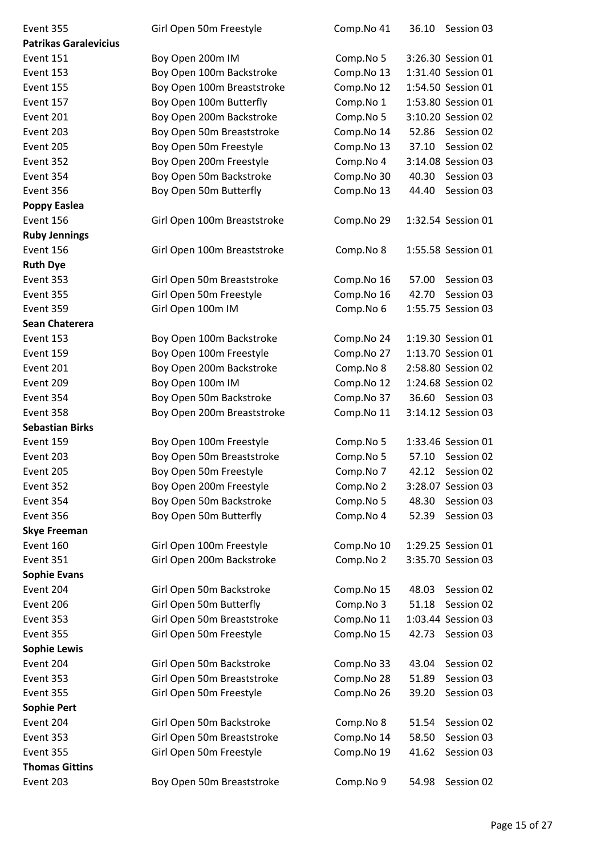| Event 355                    | Girl Open 50m Freestyle     | Comp.No 41 | 36.10 | Session 03         |
|------------------------------|-----------------------------|------------|-------|--------------------|
| <b>Patrikas Garalevicius</b> |                             |            |       |                    |
| Event 151                    | Boy Open 200m IM            | Comp.No 5  |       | 3:26.30 Session 01 |
| Event 153                    | Boy Open 100m Backstroke    | Comp.No 13 |       | 1:31.40 Session 01 |
| Event 155                    | Boy Open 100m Breaststroke  | Comp.No 12 |       | 1:54.50 Session 01 |
| Event 157                    | Boy Open 100m Butterfly     | Comp.No 1  |       | 1:53.80 Session 01 |
| Event 201                    | Boy Open 200m Backstroke    | Comp.No 5  |       | 3:10.20 Session 02 |
| Event 203                    | Boy Open 50m Breaststroke   | Comp.No 14 | 52.86 | Session 02         |
| Event 205                    | Boy Open 50m Freestyle      | Comp.No 13 | 37.10 | Session 02         |
| Event 352                    | Boy Open 200m Freestyle     | Comp.No 4  |       | 3:14.08 Session 03 |
| Event 354                    | Boy Open 50m Backstroke     | Comp.No 30 | 40.30 | Session 03         |
| Event 356                    | Boy Open 50m Butterfly      | Comp.No 13 | 44.40 | Session 03         |
| <b>Poppy Easlea</b>          |                             |            |       |                    |
| Event 156                    | Girl Open 100m Breaststroke | Comp.No 29 |       | 1:32.54 Session 01 |
| <b>Ruby Jennings</b>         |                             |            |       |                    |
| Event 156                    | Girl Open 100m Breaststroke | Comp.No 8  |       | 1:55.58 Session 01 |
| <b>Ruth Dye</b>              |                             |            |       |                    |
| Event 353                    | Girl Open 50m Breaststroke  | Comp.No 16 | 57.00 | Session 03         |
| Event 355                    | Girl Open 50m Freestyle     | Comp.No 16 | 42.70 | Session 03         |
| Event 359                    | Girl Open 100m IM           | Comp.No 6  |       | 1:55.75 Session 03 |
| Sean Chaterera               |                             |            |       |                    |
| Event 153                    | Boy Open 100m Backstroke    | Comp.No 24 |       | 1:19.30 Session 01 |
| Event 159                    | Boy Open 100m Freestyle     | Comp.No 27 |       | 1:13.70 Session 01 |
| Event 201                    | Boy Open 200m Backstroke    | Comp.No 8  |       | 2:58.80 Session 02 |
| Event 209                    | Boy Open 100m IM            | Comp.No 12 |       | 1:24.68 Session 02 |
| Event 354                    | Boy Open 50m Backstroke     | Comp.No 37 | 36.60 | Session 03         |
| Event 358                    | Boy Open 200m Breaststroke  | Comp.No 11 |       | 3:14.12 Session 03 |
| <b>Sebastian Birks</b>       |                             |            |       |                    |
| Event 159                    | Boy Open 100m Freestyle     | Comp.No 5  |       | 1:33.46 Session 01 |
| Event 203                    | Boy Open 50m Breaststroke   | Comp.No 5  | 57.10 | Session 02         |
| Event 205                    | Boy Open 50m Freestyle      | Comp.No 7  | 42.12 | Session 02         |
| Event 352                    | Boy Open 200m Freestyle     | Comp.No 2  |       | 3:28.07 Session 03 |
| Event 354                    | Boy Open 50m Backstroke     | Comp.No 5  | 48.30 | Session 03         |
| Event 356                    | Boy Open 50m Butterfly      | Comp.No 4  | 52.39 | Session 03         |
| <b>Skye Freeman</b>          |                             |            |       |                    |
| Event 160                    | Girl Open 100m Freestyle    | Comp.No 10 |       | 1:29.25 Session 01 |
| Event 351                    | Girl Open 200m Backstroke   | Comp.No 2  |       | 3:35.70 Session 03 |
| <b>Sophie Evans</b>          |                             |            |       |                    |
| Event 204                    | Girl Open 50m Backstroke    | Comp.No 15 | 48.03 | Session 02         |
| Event 206                    | Girl Open 50m Butterfly     | Comp.No 3  | 51.18 | Session 02         |
| Event 353                    | Girl Open 50m Breaststroke  | Comp.No 11 |       | 1:03.44 Session 03 |
| Event 355                    | Girl Open 50m Freestyle     | Comp.No 15 | 42.73 | Session 03         |
| <b>Sophie Lewis</b>          |                             |            |       |                    |
| Event 204                    | Girl Open 50m Backstroke    | Comp.No 33 | 43.04 | Session 02         |
| Event 353                    | Girl Open 50m Breaststroke  | Comp.No 28 | 51.89 | Session 03         |
| Event 355                    | Girl Open 50m Freestyle     | Comp.No 26 | 39.20 | Session 03         |
| <b>Sophie Pert</b>           |                             |            |       |                    |
| Event 204                    | Girl Open 50m Backstroke    | Comp.No 8  | 51.54 | Session 02         |
| Event 353                    | Girl Open 50m Breaststroke  | Comp.No 14 | 58.50 | Session 03         |
| Event 355                    | Girl Open 50m Freestyle     | Comp.No 19 | 41.62 | Session 03         |
| <b>Thomas Gittins</b>        |                             |            |       |                    |
| Event 203                    | Boy Open 50m Breaststroke   | Comp.No 9  | 54.98 | Session 02         |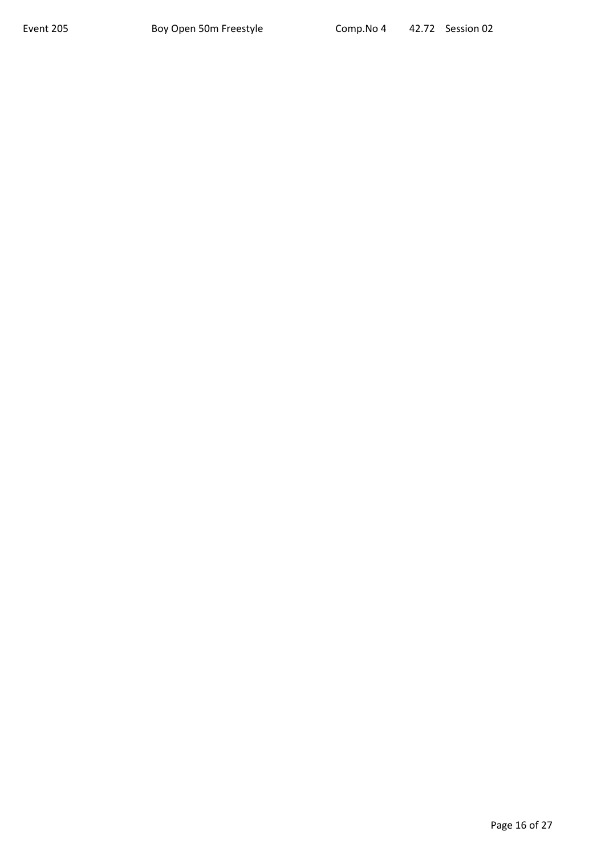Page 16 of 27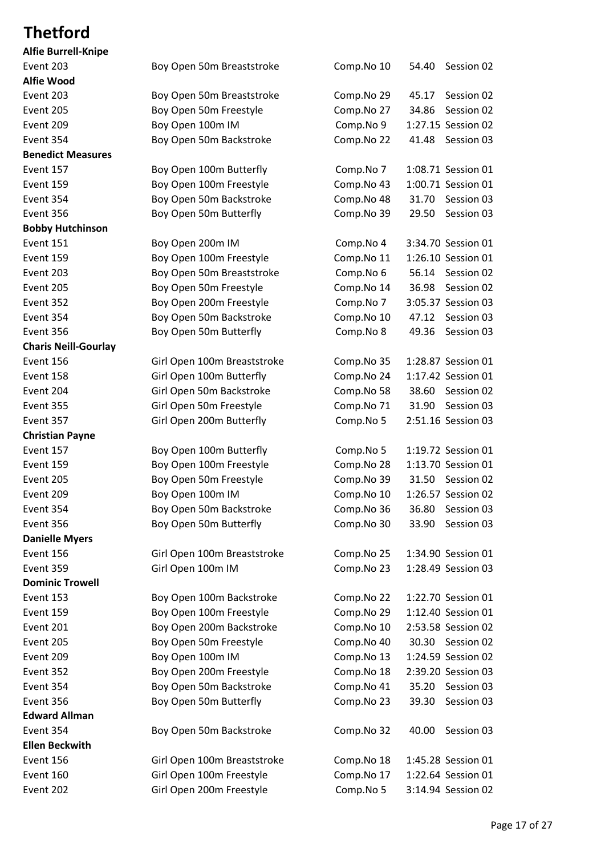# **Thetford**

| <b>Alfie Burrell-Knipe</b>  |
|-----------------------------|
| Event 203                   |
| <b>Alfie Wood</b>           |
| Event 203                   |
| Event 205                   |
| Event 209                   |
| Event 354                   |
| <b>Benedict Measures</b>    |
| Event 157                   |
| Event 159                   |
| Event 354                   |
| Event 356                   |
| <b>Bobby Hutchinson</b>     |
| Event 151                   |
| Event 159                   |
| Event 203                   |
| Event 205                   |
| Event 352                   |
| Event 354                   |
| Event 356                   |
| <b>Charis Neill-Gourlay</b> |
| Event 156                   |
| Event 158                   |
| Event 204                   |
| Event 355                   |
| Event 357                   |
| <b>Christian Payne</b>      |
| Event 157                   |
| Event 159                   |
| Event 205                   |
| Event 209                   |
| Event 354                   |
| Event 356                   |
| <b>Danielle Myers</b>       |
| Event 156                   |
| Event 359                   |
| <b>Dominic Trowell</b>      |
| Event 153                   |
| Event 159                   |
| Event 201                   |
| Event 205                   |
| Event 209                   |
| Event 352                   |
| Event 354                   |
| Event 356                   |
| <b>Edward Allman</b>        |
| Event 354                   |
| <b>Ellen Beckwith</b>       |
| Event 156                   |
| Event 160                   |
| $E_{V}$                     |

| Event 203                   | Boy Open 50m Breaststroke   | Comp.No 10 | Session 02<br>54.40 |
|-----------------------------|-----------------------------|------------|---------------------|
| Alfie Wood                  |                             |            |                     |
| Event 203                   | Boy Open 50m Breaststroke   | Comp.No 29 | Session 02<br>45.17 |
| Event 205                   | Boy Open 50m Freestyle      | Comp.No 27 | 34.86<br>Session 02 |
| Event 209                   | Boy Open 100m IM            | Comp.No 9  | 1:27.15 Session 02  |
| Event 354                   | Boy Open 50m Backstroke     | Comp.No 22 | 41.48<br>Session 03 |
| <b>Benedict Measures</b>    |                             |            |                     |
| Event 157                   | Boy Open 100m Butterfly     | Comp.No 7  | 1:08.71 Session 01  |
| Event 159                   | Boy Open 100m Freestyle     | Comp.No 43 | 1:00.71 Session 01  |
| Event 354                   | Boy Open 50m Backstroke     | Comp.No 48 | 31.70<br>Session 03 |
| Event 356                   | Boy Open 50m Butterfly      | Comp.No 39 | 29.50<br>Session 03 |
| <b>Bobby Hutchinson</b>     |                             |            |                     |
| <b>Event 151</b>            | Boy Open 200m IM            | Comp.No 4  | 3:34.70 Session 01  |
| Event 159                   | Boy Open 100m Freestyle     | Comp.No 11 | 1:26.10 Session 01  |
| Event 203                   | Boy Open 50m Breaststroke   | Comp.No 6  | 56.14 Session 02    |
| Event 205                   | Boy Open 50m Freestyle      | Comp.No 14 | 36.98<br>Session 02 |
| Event 352                   | Boy Open 200m Freestyle     | Comp.No 7  | 3:05.37 Session 03  |
| Event 354                   | Boy Open 50m Backstroke     | Comp.No 10 | 47.12<br>Session 03 |
| Event 356                   | Boy Open 50m Butterfly      | Comp.No 8  | 49.36<br>Session 03 |
| <b>Charis Neill-Gourlay</b> |                             |            |                     |
| Event 156                   | Girl Open 100m Breaststroke | Comp.No 35 | 1:28.87 Session 01  |
| Event 158                   | Girl Open 100m Butterfly    | Comp.No 24 | 1:17.42 Session 01  |
| Event 204                   | Girl Open 50m Backstroke    | Comp.No 58 | 38.60<br>Session 02 |
| Event 355                   | Girl Open 50m Freestyle     | Comp.No 71 | Session 03<br>31.90 |
| Event 357                   | Girl Open 200m Butterfly    | Comp.No 5  | 2:51.16 Session 03  |
| <b>Christian Payne</b>      |                             |            |                     |
| Event 157                   | Boy Open 100m Butterfly     | Comp.No 5  | 1:19.72 Session 01  |
| Event 159                   | Boy Open 100m Freestyle     | Comp.No 28 | 1:13.70 Session 01  |
| Event 205                   | Boy Open 50m Freestyle      | Comp.No 39 | 31.50 Session 02    |
| Event 209                   | Boy Open 100m IM            | Comp.No 10 | 1:26.57 Session 02  |
| Event 354                   | Boy Open 50m Backstroke     | Comp.No 36 | 36.80 Session 03    |
| Event 356                   | Boy Open 50m Butterfly      | Comp.No 30 | 33.90 Session 03    |
| <b>Danielle Myers</b>       |                             |            |                     |
| Event 156                   | Girl Open 100m Breaststroke | Comp.No 25 | 1:34.90 Session 01  |
| Event 359                   | Girl Open 100m IM           | Comp.No 23 | 1:28.49 Session 03  |
| <b>Dominic Trowell</b>      |                             |            |                     |
| Event 153                   | Boy Open 100m Backstroke    | Comp.No 22 | 1:22.70 Session 01  |
| Event 159                   | Boy Open 100m Freestyle     | Comp.No 29 | 1:12.40 Session 01  |
| Event 201                   | Boy Open 200m Backstroke    | Comp.No 10 | 2:53.58 Session 02  |
| Event 205                   | Boy Open 50m Freestyle      | Comp.No 40 | 30.30 Session 02    |
| Event 209                   | Boy Open 100m IM            | Comp.No 13 | 1:24.59 Session 02  |
| Event 352                   | Boy Open 200m Freestyle     | Comp.No 18 | 2:39.20 Session 03  |
| Event 354                   | Boy Open 50m Backstroke     | Comp.No 41 | 35.20<br>Session 03 |
| Event 356                   | Boy Open 50m Butterfly      | Comp.No 23 | 39.30<br>Session 03 |
| <b>Edward Allman</b>        |                             |            |                     |
| Event 354                   |                             |            |                     |
|                             | Boy Open 50m Backstroke     | Comp.No 32 | Session 03<br>40.00 |
| <b>Ellen Beckwith</b>       |                             |            |                     |
| Event 156                   | Girl Open 100m Breaststroke | Comp.No 18 | 1:45.28 Session 01  |
| Event 160                   | Girl Open 100m Freestyle    | Comp.No 17 | 1:22.64 Session 01  |
| Event 202                   | Girl Open 200m Freestyle    | Comp.No 5  | 3:14.94 Session 02  |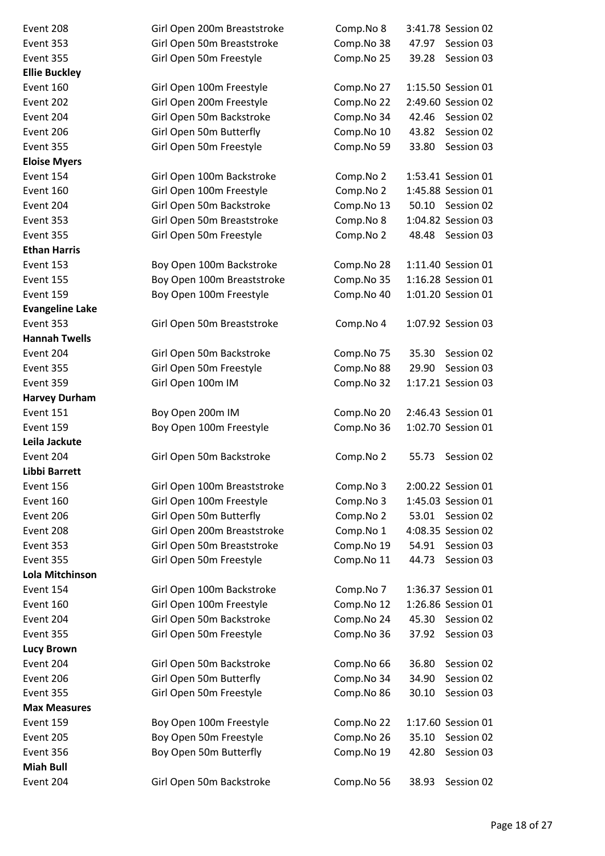**Ellie Buckley Eloise Myers Ethan Harris Evangeline Lake Hannah Twells Harvey Durham Leila Jackute Libbi Barrett Lola Mitchinson Lucy Brown Max Measures Miah Bull**

| Event 208              | Girl Open 200m Breaststroke | Comp.No 8  | 3:41.78 Session 02  |  |
|------------------------|-----------------------------|------------|---------------------|--|
| Event 353              | Girl Open 50m Breaststroke  | Comp.No 38 | Session 03<br>47.97 |  |
| Event 355              | Girl Open 50m Freestyle     | Comp.No 25 | 39.28<br>Session 03 |  |
| <b>Ellie Buckley</b>   |                             |            |                     |  |
| Event 160              | Girl Open 100m Freestyle    | Comp.No 27 | 1:15.50 Session 01  |  |
| Event 202              | Girl Open 200m Freestyle    | Comp.No 22 | 2:49.60 Session 02  |  |
| Event 204              | Girl Open 50m Backstroke    | Comp.No 34 | 42.46<br>Session 02 |  |
| Event 206              | Girl Open 50m Butterfly     | Comp.No 10 | 43.82<br>Session 02 |  |
| Event 355              | Girl Open 50m Freestyle     | Comp.No 59 | 33.80<br>Session 03 |  |
| <b>Eloise Myers</b>    |                             |            |                     |  |
| Event 154              | Girl Open 100m Backstroke   | Comp.No 2  | 1:53.41 Session 01  |  |
| Event 160              | Girl Open 100m Freestyle    | Comp.No 2  | 1:45.88 Session 01  |  |
| Event 204              | Girl Open 50m Backstroke    | Comp.No 13 | 50.10 Session 02    |  |
| Event 353              | Girl Open 50m Breaststroke  | Comp.No 8  | 1:04.82 Session 03  |  |
| Event 355              | Girl Open 50m Freestyle     | Comp.No 2  | 48.48 Session 03    |  |
| <b>Ethan Harris</b>    |                             |            |                     |  |
| Event 153              | Boy Open 100m Backstroke    | Comp.No 28 | 1:11.40 Session 01  |  |
| Event 155              | Boy Open 100m Breaststroke  | Comp.No 35 | 1:16.28 Session 01  |  |
| Event 159              | Boy Open 100m Freestyle     | Comp.No 40 | 1:01.20 Session 01  |  |
| <b>Evangeline Lake</b> |                             |            |                     |  |
| Event 353              | Girl Open 50m Breaststroke  | Comp.No 4  | 1:07.92 Session 03  |  |
| <b>Hannah Twells</b>   |                             |            |                     |  |
| Event 204              | Girl Open 50m Backstroke    | Comp.No 75 | 35.30<br>Session 02 |  |
| Event 355              | Girl Open 50m Freestyle     | Comp.No 88 | 29.90<br>Session 03 |  |
| Event 359              | Girl Open 100m IM           | Comp.No 32 | 1:17.21 Session 03  |  |
| <b>Harvey Durham</b>   |                             |            |                     |  |
| Event 151              | Boy Open 200m IM            | Comp.No 20 | 2:46.43 Session 01  |  |
| Event 159              | Boy Open 100m Freestyle     | Comp.No 36 | 1:02.70 Session 01  |  |
| Leila Jackute          |                             |            |                     |  |
| Event 204              | Girl Open 50m Backstroke    | Comp.No 2  | Session 02<br>55.73 |  |
| Libbi Barrett          |                             |            |                     |  |
| Event 156              | Girl Open 100m Breaststroke | Comp.No 3  | 2:00.22 Session 01  |  |
| Event 160              | Girl Open 100m Freestyle    | Comp.No 3  | 1:45.03 Session 01  |  |
| Event 206              | Girl Open 50m Butterfly     | Comp.No 2  | Session 02<br>53.01 |  |
| Event 208              | Girl Open 200m Breaststroke | Comp.No 1  | 4:08.35 Session 02  |  |
| Event 353              | Girl Open 50m Breaststroke  | Comp.No 19 | 54.91<br>Session 03 |  |
| Event 355              | Girl Open 50m Freestyle     | Comp.No 11 | Session 03<br>44.73 |  |
| Lola Mitchinson        |                             |            |                     |  |
| Event 154              | Girl Open 100m Backstroke   | Comp.No 7  | 1:36.37 Session 01  |  |
| Event 160              | Girl Open 100m Freestyle    | Comp.No 12 | 1:26.86 Session 01  |  |
| Event 204              | Girl Open 50m Backstroke    | Comp.No 24 | 45.30<br>Session 02 |  |
| Event 355              | Girl Open 50m Freestyle     | Comp.No 36 | 37.92<br>Session 03 |  |
| <b>Lucy Brown</b>      |                             |            |                     |  |
| Event 204              | Girl Open 50m Backstroke    | Comp.No 66 | 36.80<br>Session 02 |  |
| Event 206              | Girl Open 50m Butterfly     | Comp.No 34 | Session 02<br>34.90 |  |
| Event 355              | Girl Open 50m Freestyle     | Comp.No 86 | 30.10<br>Session 03 |  |
| <b>Max Measures</b>    |                             |            |                     |  |
| Event 159              | Boy Open 100m Freestyle     | Comp.No 22 | 1:17.60 Session 01  |  |
| Event 205              | Boy Open 50m Freestyle      | Comp.No 26 | 35.10<br>Session 02 |  |
| Event 356              | Boy Open 50m Butterfly      | Comp.No 19 | 42.80<br>Session 03 |  |
| <b>Miah Bull</b>       |                             |            |                     |  |
| Event 204              | Girl Open 50m Backstroke    | Comp.No 56 | Session 02<br>38.93 |  |
|                        |                             |            |                     |  |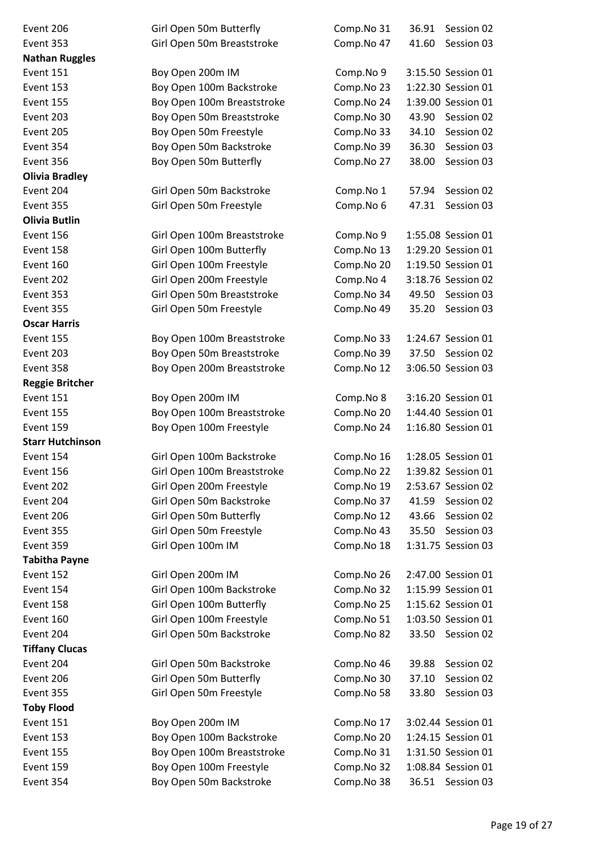| Event 206               | Girl Open 50m Butterfly     | Comp.No 31 | 36.91 | Session 02         |
|-------------------------|-----------------------------|------------|-------|--------------------|
| Event 353               | Girl Open 50m Breaststroke  | Comp.No 47 | 41.60 | Session 03         |
| <b>Nathan Ruggles</b>   |                             |            |       |                    |
| Event 151               | Boy Open 200m IM            | Comp.No 9  |       | 3:15.50 Session 01 |
| Event 153               | Boy Open 100m Backstroke    | Comp.No 23 |       | 1:22.30 Session 01 |
| Event 155               | Boy Open 100m Breaststroke  | Comp.No 24 |       | 1:39.00 Session 01 |
| Event 203               | Boy Open 50m Breaststroke   | Comp.No 30 | 43.90 | Session 02         |
| Event 205               | Boy Open 50m Freestyle      | Comp.No 33 | 34.10 | Session 02         |
| Event 354               | Boy Open 50m Backstroke     | Comp.No 39 | 36.30 | Session 03         |
| Event 356               | Boy Open 50m Butterfly      | Comp.No 27 | 38.00 | Session 03         |
| <b>Olivia Bradley</b>   |                             |            |       |                    |
| Event 204               | Girl Open 50m Backstroke    | Comp.No 1  | 57.94 | Session 02         |
| Event 355               | Girl Open 50m Freestyle     | Comp.No 6  | 47.31 | Session 03         |
| Olivia Butlin           |                             |            |       |                    |
| Event 156               | Girl Open 100m Breaststroke | Comp.No 9  |       | 1:55.08 Session 01 |
| Event 158               | Girl Open 100m Butterfly    | Comp.No 13 |       | 1:29.20 Session 01 |
| Event 160               | Girl Open 100m Freestyle    | Comp.No 20 |       | 1:19.50 Session 01 |
| Event 202               | Girl Open 200m Freestyle    | Comp.No 4  |       | 3:18.76 Session 02 |
| Event 353               | Girl Open 50m Breaststroke  | Comp.No 34 | 49.50 | Session 03         |
| Event 355               | Girl Open 50m Freestyle     | Comp.No 49 | 35.20 | Session 03         |
| <b>Oscar Harris</b>     |                             |            |       |                    |
| Event 155               | Boy Open 100m Breaststroke  | Comp.No 33 |       | 1:24.67 Session 01 |
| Event 203               | Boy Open 50m Breaststroke   | Comp.No 39 |       | 37.50 Session 02   |
| Event 358               | Boy Open 200m Breaststroke  | Comp.No 12 |       | 3:06.50 Session 03 |
| <b>Reggie Britcher</b>  |                             |            |       |                    |
| Event 151               | Boy Open 200m IM            | Comp.No 8  |       | 3:16.20 Session 01 |
| Event 155               | Boy Open 100m Breaststroke  | Comp.No 20 |       | 1:44.40 Session 01 |
| Event 159               | Boy Open 100m Freestyle     | Comp.No 24 |       | 1:16.80 Session 01 |
| <b>Starr Hutchinson</b> |                             |            |       |                    |
| Event 154               | Girl Open 100m Backstroke   | Comp.No 16 |       | 1:28.05 Session 01 |
| Event 156               | Girl Open 100m Breaststroke | Comp.No 22 |       | 1:39.82 Session 01 |
| Event 202               | Girl Open 200m Freestyle    | Comp.No 19 |       | 2:53.67 Session 02 |
| Event 204               | Girl Open 50m Backstroke    | Comp.No 37 |       | 41.59 Session 02   |
| Event 206               | Girl Open 50m Butterfly     | Comp.No 12 | 43.66 | Session 02         |
| Event 355               | Girl Open 50m Freestyle     | Comp.No 43 |       | 35.50 Session 03   |
| Event 359               | Girl Open 100m IM           | Comp.No 18 |       | 1:31.75 Session 03 |
| <b>Tabitha Payne</b>    |                             |            |       |                    |
| Event 152               | Girl Open 200m IM           | Comp.No 26 |       | 2:47.00 Session 01 |
| Event 154               | Girl Open 100m Backstroke   | Comp.No 32 |       | 1:15.99 Session 01 |
| Event 158               | Girl Open 100m Butterfly    | Comp.No 25 |       | 1:15.62 Session 01 |
| Event 160               | Girl Open 100m Freestyle    | Comp.No 51 |       | 1:03.50 Session 01 |
| Event 204               | Girl Open 50m Backstroke    | Comp.No 82 |       | 33.50 Session 02   |
| <b>Tiffany Clucas</b>   |                             |            |       |                    |
| Event 204               | Girl Open 50m Backstroke    | Comp.No 46 | 39.88 | Session 02         |
| Event 206               | Girl Open 50m Butterfly     | Comp.No 30 | 37.10 | Session 02         |
| Event 355               | Girl Open 50m Freestyle     | Comp.No 58 | 33.80 | Session 03         |
| <b>Toby Flood</b>       |                             |            |       |                    |
| Event 151               | Boy Open 200m IM            | Comp.No 17 |       | 3:02.44 Session 01 |
| Event 153               | Boy Open 100m Backstroke    | Comp.No 20 |       | 1:24.15 Session 01 |
| Event 155               | Boy Open 100m Breaststroke  | Comp.No 31 |       | 1:31.50 Session 01 |
| Event 159               | Boy Open 100m Freestyle     | Comp.No 32 |       | 1:08.84 Session 01 |
| Event 354               | Boy Open 50m Backstroke     | Comp.No 38 |       | 36.51 Session 03   |
|                         |                             |            |       |                    |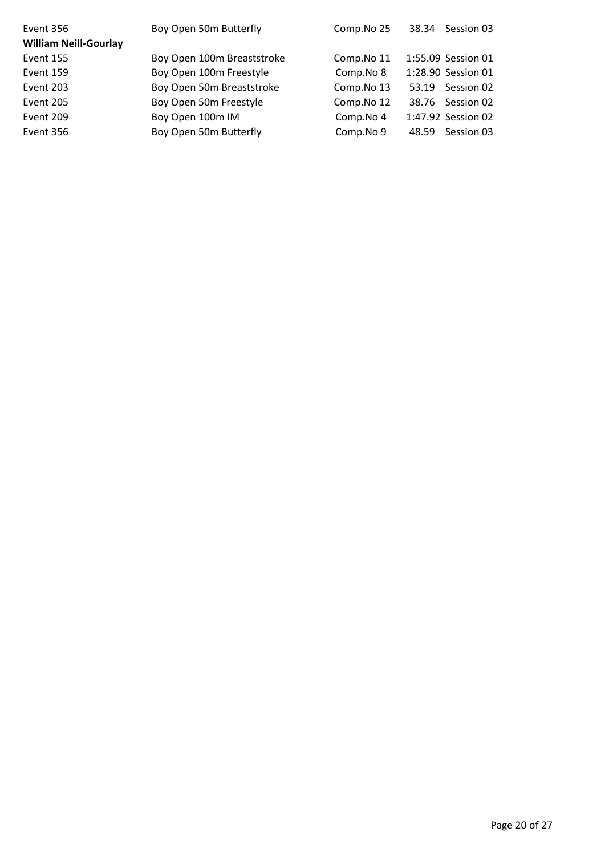| Event 356                    | Boy Open 50m Butterfly     | Comp.No 25 |       | 38.34 Session 03   |
|------------------------------|----------------------------|------------|-------|--------------------|
| <b>William Neill-Gourlay</b> |                            |            |       |                    |
| Event 155                    | Boy Open 100m Breaststroke | Comp.No 11 |       | 1:55.09 Session 01 |
| Event 159                    | Boy Open 100m Freestyle    | Comp.No 8  |       | 1:28.90 Session 01 |
| Event 203                    | Boy Open 50m Breaststroke  | Comp.No 13 | 53.19 | Session 02         |
| Event 205                    | Boy Open 50m Freestyle     | Comp.No 12 |       | 38.76 Session 02   |
| Event 209                    | Boy Open 100m IM           | Comp.No 4  |       | 1:47.92 Session 02 |
| Event 356                    | Boy Open 50m Butterfly     | Comp.No 9  | 48.59 | Session 03         |
|                              |                            |            |       |                    |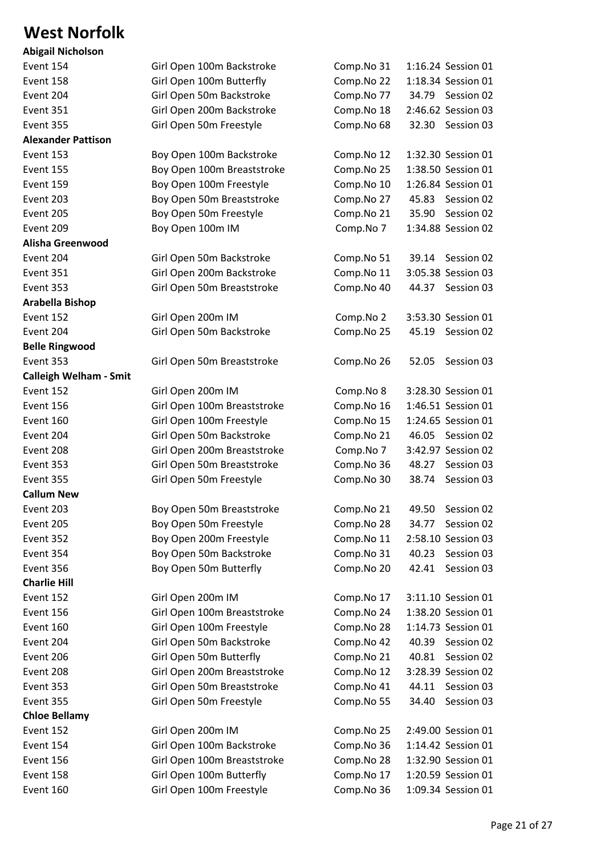#### **West Norfolk**

| <b>Abigail Nicholson</b>      |
|-------------------------------|
| Event 154                     |
| Event 158                     |
| Event 204                     |
| Event 351                     |
| Event 355                     |
| <b>Alexander Pattison</b>     |
| Event 153                     |
| Event 155                     |
| Event 159                     |
| Event 203                     |
| Event 205                     |
| Event 209                     |
| Alisha Greenwood              |
| Event 204                     |
| Event 351                     |
| Event 353                     |
| Arabella Bishop               |
| Event 152                     |
| Event 204                     |
| <b>Belle Ringwood</b>         |
| Event 353                     |
| <b>Calleigh Welham - Smit</b> |
| Event 152                     |
| Event 156                     |
| Event 160                     |
| Event 204                     |
| Event 208                     |
| Event 353                     |
| Event 355                     |
| <b>Callum New</b>             |
| Event 203                     |
| Event 205                     |
| Event 352                     |
| Event 354                     |
| Event 356                     |
| <b>Charlie Hill</b>           |
| Event 152                     |
| Event 156                     |
| Event 160                     |
| Event 204                     |
| Event 206                     |
| Event 208                     |
| Event 353                     |
| Event 355                     |
| <b>Chloe Bellamy</b>          |
| Event 152                     |
| Event 154                     |
| Event 156                     |
| Event 158                     |
| (0.0000, 1.0000)              |

| Event 154                     | Girl Open 100m Backstroke   | Comp.No 31 | 1:16.24 Session 01  |
|-------------------------------|-----------------------------|------------|---------------------|
| Event 158                     | Girl Open 100m Butterfly    | Comp.No 22 | 1:18.34 Session 01  |
| Event 204                     | Girl Open 50m Backstroke    | Comp.No 77 | 34.79 Session 02    |
| Event 351                     | Girl Open 200m Backstroke   | Comp.No 18 | 2:46.62 Session 03  |
| Event 355                     | Girl Open 50m Freestyle     | Comp.No 68 | 32.30 Session 03    |
| <b>Alexander Pattison</b>     |                             |            |                     |
| Event 153                     | Boy Open 100m Backstroke    | Comp.No 12 | 1:32.30 Session 01  |
| Event 155                     | Boy Open 100m Breaststroke  | Comp.No 25 | 1:38.50 Session 01  |
| Event 159                     | Boy Open 100m Freestyle     | Comp.No 10 | 1:26.84 Session 01  |
| Event 203                     | Boy Open 50m Breaststroke   | Comp.No 27 | 45.83 Session 02    |
| Event 205                     | Boy Open 50m Freestyle      | Comp.No 21 | 35.90 Session 02    |
| Event 209                     | Boy Open 100m IM            | Comp.No 7  | 1:34.88 Session 02  |
| Alisha Greenwood              |                             |            |                     |
| Event 204                     | Girl Open 50m Backstroke    | Comp.No 51 | 39.14<br>Session 02 |
| Event 351                     | Girl Open 200m Backstroke   | Comp.No 11 | 3:05.38 Session 03  |
| Event 353                     | Girl Open 50m Breaststroke  | Comp.No 40 | Session 03<br>44.37 |
| Arabella Bishop               |                             |            |                     |
| Event 152                     | Girl Open 200m IM           | Comp.No 2  | 3:53.30 Session 01  |
| Event 204                     | Girl Open 50m Backstroke    | Comp.No 25 | 45.19 Session 02    |
| <b>Belle Ringwood</b>         |                             |            |                     |
| Event 353                     | Girl Open 50m Breaststroke  | Comp.No 26 | 52.05<br>Session 03 |
| <b>Calleigh Welham - Smit</b> |                             |            |                     |
| Event 152                     | Girl Open 200m IM           | Comp.No 8  | 3:28.30 Session 01  |
| Event 156                     | Girl Open 100m Breaststroke | Comp.No 16 | 1:46.51 Session 01  |
| Event 160                     | Girl Open 100m Freestyle    | Comp.No 15 | 1:24.65 Session 01  |
| Event 204                     | Girl Open 50m Backstroke    | Comp.No 21 | 46.05 Session 02    |
| Event 208                     | Girl Open 200m Breaststroke | Comp.No 7  | 3:42.97 Session 02  |
| Event 353                     | Girl Open 50m Breaststroke  | Comp.No 36 | 48.27 Session 03    |
| Event 355                     | Girl Open 50m Freestyle     | Comp.No 30 | 38.74<br>Session 03 |
| <b>Callum New</b>             |                             |            |                     |
| Event 203                     | Boy Open 50m Breaststroke   | Comp.No 21 | 49.50<br>Session 02 |
| Event 205                     | Boy Open 50m Freestyle      | Comp.No 28 | Session 02<br>34.77 |
| Event 352                     | Boy Open 200m Freestyle     | Comp.No 11 | 2:58.10 Session 03  |
| Event 354                     | Boy Open 50m Backstroke     | Comp.No 31 | 40.23<br>Session 03 |
| Event 356                     | Boy Open 50m Butterfly      | Comp.No 20 | 42.41<br>Session 03 |
| <b>Charlie Hill</b>           |                             |            |                     |
| Event 152                     | Girl Open 200m IM           | Comp.No 17 | 3:11.10 Session 01  |
| Event 156                     | Girl Open 100m Breaststroke | Comp.No 24 | 1:38.20 Session 01  |
| Event 160                     | Girl Open 100m Freestyle    | Comp.No 28 | 1:14.73 Session 01  |
| Event 204                     | Girl Open 50m Backstroke    | Comp.No 42 | 40.39<br>Session 02 |
| Event 206                     | Girl Open 50m Butterfly     | Comp.No 21 | 40.81<br>Session 02 |
| Event 208                     | Girl Open 200m Breaststroke | Comp.No 12 | 3:28.39 Session 02  |
| Event 353                     | Girl Open 50m Breaststroke  | Comp.No 41 | Session 03<br>44.11 |
| Event 355                     | Girl Open 50m Freestyle     | Comp.No 55 | 34.40<br>Session 03 |
| <b>Chloe Bellamy</b>          |                             |            |                     |
| Event 152                     | Girl Open 200m IM           | Comp.No 25 | 2:49.00 Session 01  |
| Event 154                     | Girl Open 100m Backstroke   | Comp.No 36 | 1:14.42 Session 01  |
| Event 156                     | Girl Open 100m Breaststroke | Comp.No 28 | 1:32.90 Session 01  |
| Event 158                     | Girl Open 100m Butterfly    | Comp.No 17 | 1:20.59 Session 01  |
| Event 160                     | Girl Open 100m Freestyle    | Comp.No 36 | 1:09.34 Session 01  |
|                               |                             |            |                     |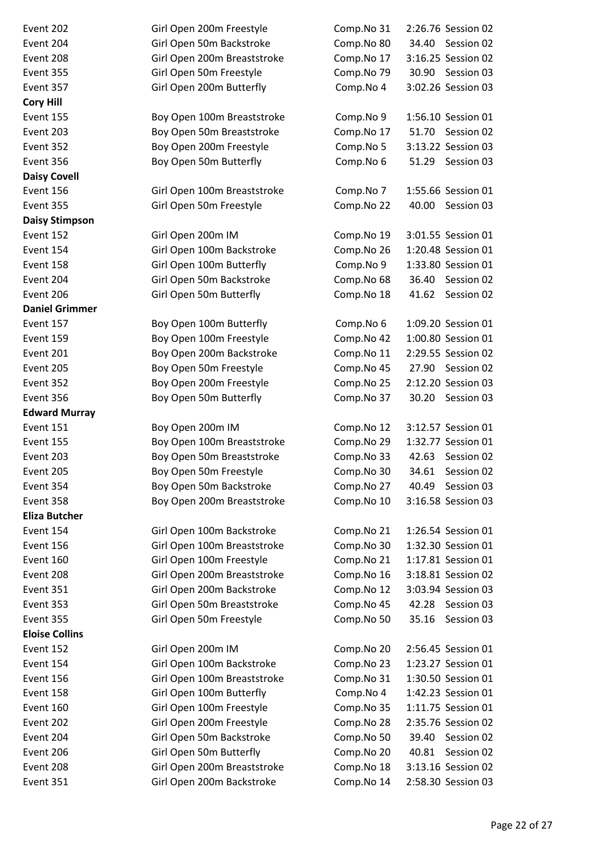| Event 202             | Girl Open 200m Freestyle    | Comp.No 31 | 2:26.76 Session 02  |
|-----------------------|-----------------------------|------------|---------------------|
| Event 204             | Girl Open 50m Backstroke    | Comp.No 80 | 34.40 Session 02    |
| Event 208             | Girl Open 200m Breaststroke | Comp.No 17 | 3:16.25 Session 02  |
| Event 355             | Girl Open 50m Freestyle     | Comp.No 79 | 30.90 Session 03    |
| Event 357             | Girl Open 200m Butterfly    | Comp.No 4  | 3:02.26 Session 03  |
| <b>Cory Hill</b>      |                             |            |                     |
| Event 155             | Boy Open 100m Breaststroke  | Comp.No 9  | 1:56.10 Session 01  |
| Event 203             | Boy Open 50m Breaststroke   | Comp.No 17 | 51.70<br>Session 02 |
| Event 352             | Boy Open 200m Freestyle     | Comp.No 5  | 3:13.22 Session 03  |
| Event 356             | Boy Open 50m Butterfly      | Comp.No 6  | 51.29<br>Session 03 |
| <b>Daisy Covell</b>   |                             |            |                     |
| Event 156             | Girl Open 100m Breaststroke | Comp.No 7  | 1:55.66 Session 01  |
| Event 355             | Girl Open 50m Freestyle     | Comp.No 22 | 40.00<br>Session 03 |
| <b>Daisy Stimpson</b> |                             |            |                     |
| Event 152             | Girl Open 200m IM           | Comp.No 19 | 3:01.55 Session 01  |
| Event 154             | Girl Open 100m Backstroke   | Comp.No 26 | 1:20.48 Session 01  |
| Event 158             | Girl Open 100m Butterfly    | Comp.No 9  | 1:33.80 Session 01  |
| Event 204             | Girl Open 50m Backstroke    | Comp.No 68 | 36.40<br>Session 02 |
| Event 206             | Girl Open 50m Butterfly     | Comp.No 18 | 41.62<br>Session 02 |
| <b>Daniel Grimmer</b> |                             |            |                     |
| Event 157             | Boy Open 100m Butterfly     | Comp.No 6  | 1:09.20 Session 01  |
| Event 159             | Boy Open 100m Freestyle     | Comp.No 42 | 1:00.80 Session 01  |
| Event 201             | Boy Open 200m Backstroke    | Comp.No 11 | 2:29.55 Session 02  |
| Event 205             | Boy Open 50m Freestyle      | Comp.No 45 | 27.90<br>Session 02 |
| Event 352             | Boy Open 200m Freestyle     | Comp.No 25 | 2:12.20 Session 03  |
| Event 356             | Boy Open 50m Butterfly      | Comp.No 37 | 30.20<br>Session 03 |
| <b>Edward Murray</b>  |                             |            |                     |
| Event 151             | Boy Open 200m IM            | Comp.No 12 | 3:12.57 Session 01  |
| Event 155             | Boy Open 100m Breaststroke  | Comp.No 29 | 1:32.77 Session 01  |
| Event 203             | Boy Open 50m Breaststroke   | Comp.No 33 | 42.63<br>Session 02 |
| Event 205             | Boy Open 50m Freestyle      | Comp.No 30 | 34.61<br>Session 02 |
| Event 354             | Boy Open 50m Backstroke     | Comp.No 27 | 40.49<br>Session 03 |
| Event 358             | Boy Open 200m Breaststroke  | Comp.No 10 | 3:16.58 Session 03  |
| <b>Eliza Butcher</b>  |                             |            |                     |
| Event 154             | Girl Open 100m Backstroke   | Comp.No 21 | 1:26.54 Session 01  |
| Event 156             | Girl Open 100m Breaststroke | Comp.No 30 | 1:32.30 Session 01  |
| Event 160             | Girl Open 100m Freestyle    | Comp.No 21 | 1:17.81 Session 01  |
| Event 208             | Girl Open 200m Breaststroke | Comp.No 16 | 3:18.81 Session 02  |
| Event 351             | Girl Open 200m Backstroke   | Comp.No 12 | 3:03.94 Session 03  |
| Event 353             | Girl Open 50m Breaststroke  | Comp.No 45 | 42.28<br>Session 03 |
| Event 355             | Girl Open 50m Freestyle     | Comp.No 50 | 35.16<br>Session 03 |
| <b>Eloise Collins</b> |                             |            |                     |
| Event 152             | Girl Open 200m IM           | Comp.No 20 | 2:56.45 Session 01  |
| Event 154             | Girl Open 100m Backstroke   | Comp.No 23 | 1:23.27 Session 01  |
| Event 156             | Girl Open 100m Breaststroke | Comp.No 31 | 1:30.50 Session 01  |
| Event 158             | Girl Open 100m Butterfly    | Comp.No 4  | 1:42.23 Session 01  |
| Event 160             | Girl Open 100m Freestyle    | Comp.No 35 | 1:11.75 Session 01  |
| Event 202             | Girl Open 200m Freestyle    | Comp.No 28 | 2:35.76 Session 02  |
| Event 204             | Girl Open 50m Backstroke    | Comp.No 50 | 39.40 Session 02    |
| Event 206             | Girl Open 50m Butterfly     | Comp.No 20 | Session 02<br>40.81 |
| Event 208             | Girl Open 200m Breaststroke | Comp.No 18 | 3:13.16 Session 02  |
| Event 351             | Girl Open 200m Backstroke   | Comp.No 14 | 2:58.30 Session 03  |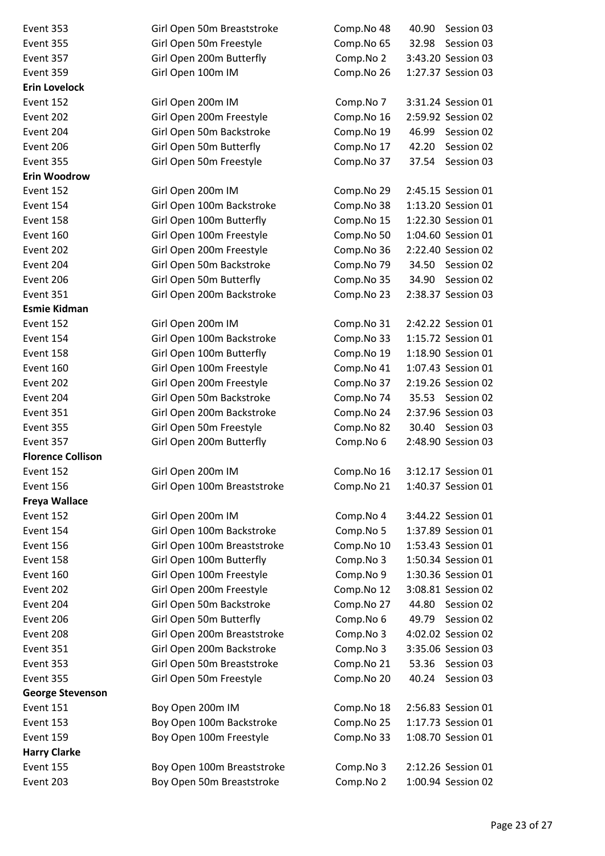| Event 353                | Girl Open 50m Breaststroke  | Comp.No 48 | Session 03<br>40.90 |
|--------------------------|-----------------------------|------------|---------------------|
| Event 355                | Girl Open 50m Freestyle     | Comp.No 65 | 32.98<br>Session 03 |
| Event 357                | Girl Open 200m Butterfly    | Comp.No 2  | 3:43.20 Session 03  |
| Event 359                | Girl Open 100m IM           | Comp.No 26 | 1:27.37 Session 03  |
| <b>Erin Lovelock</b>     |                             |            |                     |
| Event 152                | Girl Open 200m IM           | Comp.No 7  | 3:31.24 Session 01  |
| Event 202                | Girl Open 200m Freestyle    | Comp.No 16 | 2:59.92 Session 02  |
| Event 204                | Girl Open 50m Backstroke    | Comp.No 19 | 46.99<br>Session 02 |
| Event 206                | Girl Open 50m Butterfly     | Comp.No 17 | 42.20<br>Session 02 |
| Event 355                | Girl Open 50m Freestyle     | Comp.No 37 | 37.54 Session 03    |
| <b>Erin Woodrow</b>      |                             |            |                     |
| Event 152                | Girl Open 200m IM           | Comp.No 29 | 2:45.15 Session 01  |
| Event 154                | Girl Open 100m Backstroke   | Comp.No 38 | 1:13.20 Session 01  |
| Event 158                | Girl Open 100m Butterfly    | Comp.No 15 | 1:22.30 Session 01  |
| Event 160                | Girl Open 100m Freestyle    | Comp.No 50 | 1:04.60 Session 01  |
| Event 202                | Girl Open 200m Freestyle    | Comp.No 36 | 2:22.40 Session 02  |
| Event 204                | Girl Open 50m Backstroke    | Comp.No 79 | 34.50 Session 02    |
| Event 206                | Girl Open 50m Butterfly     | Comp.No 35 | 34.90<br>Session 02 |
| Event 351                | Girl Open 200m Backstroke   | Comp.No 23 | 2:38.37 Session 03  |
| <b>Esmie Kidman</b>      |                             |            |                     |
| Event 152                | Girl Open 200m IM           | Comp.No 31 | 2:42.22 Session 01  |
| Event 154                | Girl Open 100m Backstroke   | Comp.No 33 | 1:15.72 Session 01  |
| Event 158                | Girl Open 100m Butterfly    | Comp.No 19 | 1:18.90 Session 01  |
| Event 160                | Girl Open 100m Freestyle    | Comp.No 41 | 1:07.43 Session 01  |
| Event 202                | Girl Open 200m Freestyle    | Comp.No 37 | 2:19.26 Session 02  |
| Event 204                | Girl Open 50m Backstroke    | Comp.No 74 | 35.53 Session 02    |
| Event 351                | Girl Open 200m Backstroke   | Comp.No 24 | 2:37.96 Session 03  |
| Event 355                | Girl Open 50m Freestyle     | Comp.No 82 | 30.40 Session 03    |
| Event 357                | Girl Open 200m Butterfly    | Comp.No 6  | 2:48.90 Session 03  |
| <b>Florence Collison</b> |                             |            |                     |
| Event 152                | Girl Open 200m IM           | Comp.No 16 | 3:12.17 Session 01  |
| Event 156                | Girl Open 100m Breaststroke | Comp.No 21 | 1:40.37 Session 01  |
| Freya Wallace            |                             |            |                     |
| Event 152                | Girl Open 200m IM           | Comp.No 4  | 3:44.22 Session 01  |
| Event 154                | Girl Open 100m Backstroke   | Comp.No 5  | 1:37.89 Session 01  |
| Event 156                | Girl Open 100m Breaststroke | Comp.No 10 | 1:53.43 Session 01  |
| Event 158                | Girl Open 100m Butterfly    | Comp.No 3  | 1:50.34 Session 01  |
| Event 160                | Girl Open 100m Freestyle    | Comp.No 9  | 1:30.36 Session 01  |
| Event 202                | Girl Open 200m Freestyle    | Comp.No 12 | 3:08.81 Session 02  |
| Event 204                | Girl Open 50m Backstroke    | Comp.No 27 | 44.80<br>Session 02 |
| Event 206                | Girl Open 50m Butterfly     | Comp.No 6  | 49.79<br>Session 02 |
| Event 208                | Girl Open 200m Breaststroke | Comp.No 3  | 4:02.02 Session 02  |
| Event 351                | Girl Open 200m Backstroke   | Comp.No 3  | 3:35.06 Session 03  |
| Event 353                | Girl Open 50m Breaststroke  | Comp.No 21 | 53.36<br>Session 03 |
| Event 355                | Girl Open 50m Freestyle     | Comp.No 20 | 40.24 Session 03    |
| <b>George Stevenson</b>  |                             |            |                     |
| <b>Event 151</b>         | Boy Open 200m IM            | Comp.No 18 | 2:56.83 Session 01  |
| Event 153                | Boy Open 100m Backstroke    | Comp.No 25 | 1:17.73 Session 01  |
| Event 159                | Boy Open 100m Freestyle     | Comp.No 33 | 1:08.70 Session 01  |
| <b>Harry Clarke</b>      |                             |            |                     |
| Event 155                | Boy Open 100m Breaststroke  | Comp.No 3  | 2:12.26 Session 01  |
| Event 203                | Boy Open 50m Breaststroke   | Comp.No 2  | 1:00.94 Session 02  |
|                          |                             |            |                     |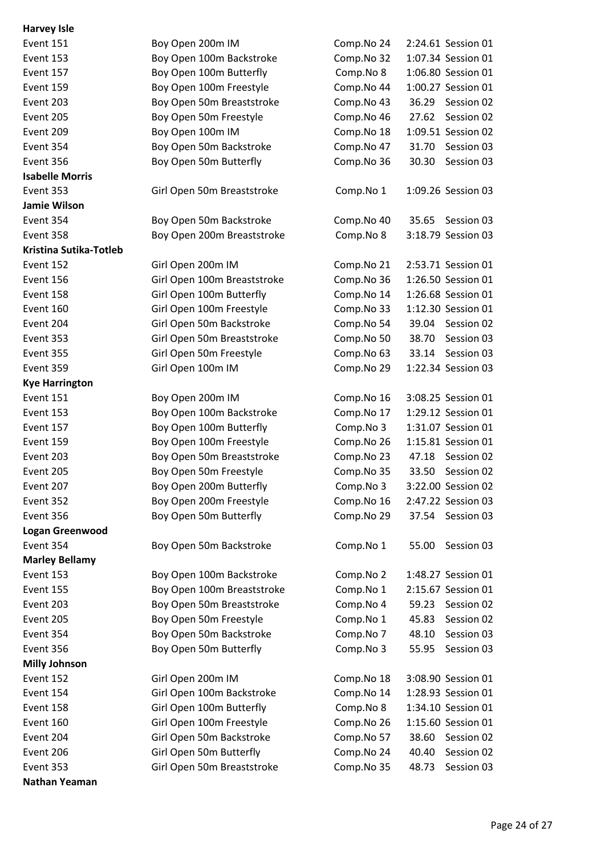| <b>Harvey Isle</b>     |                             |            |                     |
|------------------------|-----------------------------|------------|---------------------|
| Event 151              | Boy Open 200m IM            | Comp.No 24 | 2:24.61 Session 01  |
| Event 153              | Boy Open 100m Backstroke    | Comp.No 32 | 1:07.34 Session 01  |
| Event 157              | Boy Open 100m Butterfly     | Comp.No 8  | 1:06.80 Session 01  |
| Event 159              | Boy Open 100m Freestyle     | Comp.No 44 | 1:00.27 Session 01  |
| Event 203              | Boy Open 50m Breaststroke   | Comp.No 43 | 36.29<br>Session 02 |
| Event 205              | Boy Open 50m Freestyle      | Comp.No 46 | Session 02<br>27.62 |
| Event 209              | Boy Open 100m IM            | Comp.No 18 | 1:09.51 Session 02  |
| Event 354              | Boy Open 50m Backstroke     | Comp.No 47 | Session 03<br>31.70 |
| Event 356              | Boy Open 50m Butterfly      | Comp.No 36 | 30.30<br>Session 03 |
| <b>Isabelle Morris</b> |                             |            |                     |
| Event 353              | Girl Open 50m Breaststroke  | Comp.No 1  | 1:09.26 Session 03  |
| Jamie Wilson           |                             |            |                     |
| Event 354              | Boy Open 50m Backstroke     | Comp.No 40 | 35.65<br>Session 03 |
| Event 358              | Boy Open 200m Breaststroke  | Comp.No 8  | 3:18.79 Session 03  |
| Kristina Sutika-Totleb |                             |            |                     |
| Event 152              | Girl Open 200m IM           | Comp.No 21 | 2:53.71 Session 01  |
| Event 156              | Girl Open 100m Breaststroke | Comp.No 36 | 1:26.50 Session 01  |
| Event 158              | Girl Open 100m Butterfly    | Comp.No 14 | 1:26.68 Session 01  |
| Event 160              | Girl Open 100m Freestyle    | Comp.No 33 | 1:12.30 Session 01  |
| Event 204              | Girl Open 50m Backstroke    | Comp.No 54 | 39.04<br>Session 02 |
| Event 353              | Girl Open 50m Breaststroke  | Comp.No 50 | 38.70<br>Session 03 |
| Event 355              | Girl Open 50m Freestyle     | Comp.No 63 | 33.14<br>Session 03 |
| Event 359              | Girl Open 100m IM           | Comp.No 29 | 1:22.34 Session 03  |
| <b>Kye Harrington</b>  |                             |            |                     |
| Event 151              | Boy Open 200m IM            | Comp.No 16 | 3:08.25 Session 01  |
| Event 153              | Boy Open 100m Backstroke    | Comp.No 17 | 1:29.12 Session 01  |
| Event 157              | Boy Open 100m Butterfly     | Comp.No 3  | 1:31.07 Session 01  |
| Event 159              | Boy Open 100m Freestyle     | Comp.No 26 | 1:15.81 Session 01  |
| Event 203              | Boy Open 50m Breaststroke   | Comp.No 23 | 47.18<br>Session 02 |
| Event 205              | Boy Open 50m Freestyle      | Comp.No 35 | 33.50<br>Session 02 |
| Event 207              | Boy Open 200m Butterfly     | Comp.No 3  | 3:22.00 Session 02  |
| Event 352              | Boy Open 200m Freestyle     | Comp.No 16 | 2:47.22 Session 03  |
| Event 356              | Boy Open 50m Butterfly      | Comp.No 29 | 37.54<br>Session 03 |
| <b>Logan Greenwood</b> |                             |            |                     |
| Event 354              | Boy Open 50m Backstroke     | Comp.No 1  | 55.00<br>Session 03 |
| <b>Marley Bellamy</b>  |                             |            |                     |
| Event 153              | Boy Open 100m Backstroke    | Comp.No 2  | 1:48.27 Session 01  |
| Event 155              | Boy Open 100m Breaststroke  | Comp.No 1  | 2:15.67 Session 01  |
| Event 203              | Boy Open 50m Breaststroke   | Comp.No 4  | 59.23<br>Session 02 |
| Event 205              | Boy Open 50m Freestyle      | Comp.No 1  | Session 02<br>45.83 |
| Event 354              | Boy Open 50m Backstroke     | Comp.No 7  | Session 03<br>48.10 |
| Event 356              | Boy Open 50m Butterfly      | Comp.No 3  | Session 03<br>55.95 |
| <b>Milly Johnson</b>   |                             |            |                     |
| Event 152              | Girl Open 200m IM           | Comp.No 18 | 3:08.90 Session 01  |
| Event 154              | Girl Open 100m Backstroke   | Comp.No 14 | 1:28.93 Session 01  |
| Event 158              | Girl Open 100m Butterfly    | Comp.No 8  | 1:34.10 Session 01  |
| Event 160              | Girl Open 100m Freestyle    | Comp.No 26 | 1:15.60 Session 01  |
| Event 204              | Girl Open 50m Backstroke    | Comp.No 57 | 38.60<br>Session 02 |
| Event 206              | Girl Open 50m Butterfly     | Comp.No 24 | Session 02<br>40.40 |
| Event 353              | Girl Open 50m Breaststroke  | Comp.No 35 | Session 03<br>48.73 |
| Nathan Yeaman          |                             |            |                     |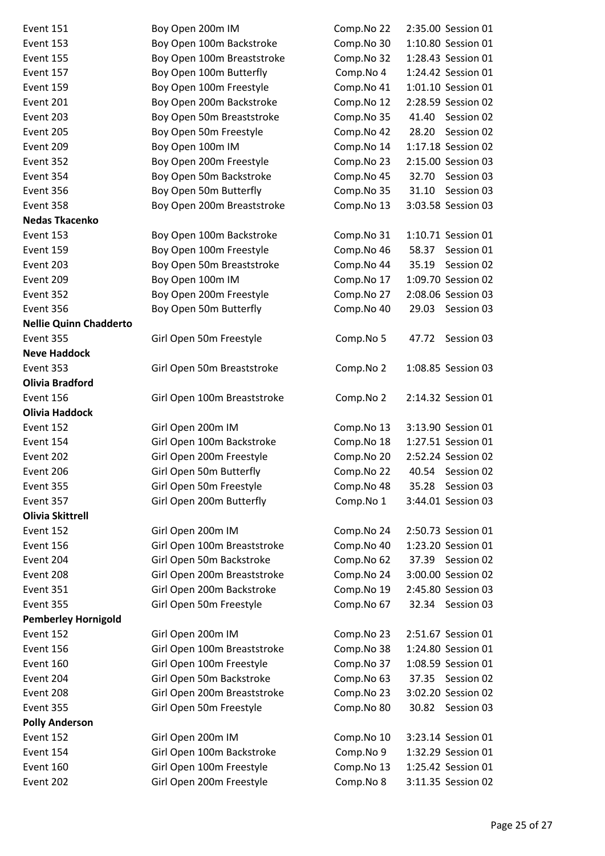| Boy Open 200m IM            | Comp.No 22 | 2:35.00 Session 01  |
|-----------------------------|------------|---------------------|
| Boy Open 100m Backstroke    | Comp.No 30 | 1:10.80 Session 01  |
| Boy Open 100m Breaststroke  | Comp.No 32 | 1:28.43 Session 01  |
| Boy Open 100m Butterfly     | Comp.No 4  | 1:24.42 Session 01  |
| Boy Open 100m Freestyle     | Comp.No 41 | 1:01.10 Session 01  |
| Boy Open 200m Backstroke    | Comp.No 12 | 2:28.59 Session 02  |
| Boy Open 50m Breaststroke   | Comp.No 35 | 41.40<br>Session 02 |
| Boy Open 50m Freestyle      | Comp.No 42 | 28.20 Session 02    |
| Boy Open 100m IM            | Comp.No 14 | 1:17.18 Session 02  |
| Boy Open 200m Freestyle     | Comp.No 23 | 2:15.00 Session 03  |
| Boy Open 50m Backstroke     | Comp.No 45 | 32.70<br>Session 03 |
| Boy Open 50m Butterfly      | Comp.No 35 | 31.10<br>Session 03 |
| Boy Open 200m Breaststroke  | Comp.No 13 | 3:03.58 Session 03  |
|                             |            |                     |
| Boy Open 100m Backstroke    | Comp.No 31 | 1:10.71 Session 01  |
| Boy Open 100m Freestyle     | Comp.No 46 | 58.37<br>Session 01 |
| Boy Open 50m Breaststroke   | Comp.No 44 | Session 02<br>35.19 |
| Boy Open 100m IM            | Comp.No 17 | 1:09.70 Session 02  |
| Boy Open 200m Freestyle     | Comp.No 27 | 2:08.06 Session 03  |
| Boy Open 50m Butterfly      | Comp.No 40 | 29.03 Session 03    |
|                             |            |                     |
| Girl Open 50m Freestyle     | Comp.No 5  | Session 03<br>47.72 |
|                             |            |                     |
| Girl Open 50m Breaststroke  | Comp.No 2  | 1:08.85 Session 03  |
|                             |            |                     |
| Girl Open 100m Breaststroke | Comp.No 2  | 2:14.32 Session 01  |
|                             |            |                     |
| Girl Open 200m IM           | Comp.No 13 | 3:13.90 Session 01  |
| Girl Open 100m Backstroke   | Comp.No 18 | 1:27.51 Session 01  |
| Girl Open 200m Freestyle    | Comp.No 20 | 2:52.24 Session 02  |
| Girl Open 50m Butterfly     | Comp.No 22 | 40.54 Session 02    |
| Girl Open 50m Freestyle     | Comp.No 48 | 35.28 Session 03    |
| Girl Open 200m Butterfly    | Comp.No 1  | 3:44.01 Session 03  |
|                             |            |                     |
| Girl Open 200m IM           | Comp.No 24 | 2:50.73 Session 01  |
| Girl Open 100m Breaststroke | Comp.No 40 | 1:23.20 Session 01  |
| Girl Open 50m Backstroke    | Comp.No 62 | 37.39 Session 02    |
| Girl Open 200m Breaststroke | Comp.No 24 | 3:00.00 Session 02  |
| Girl Open 200m Backstroke   | Comp.No 19 | 2:45.80 Session 03  |
| Girl Open 50m Freestyle     | Comp.No 67 | 32.34 Session 03    |
|                             |            |                     |
| Girl Open 200m IM           | Comp.No 23 | 2:51.67 Session 01  |
| Girl Open 100m Breaststroke | Comp.No 38 | 1:24.80 Session 01  |
| Girl Open 100m Freestyle    | Comp.No 37 | 1:08.59 Session 01  |
| Girl Open 50m Backstroke    | Comp.No 63 | 37.35<br>Session 02 |
| Girl Open 200m Breaststroke | Comp.No 23 | 3:02.20 Session 02  |
| Girl Open 50m Freestyle     | Comp.No 80 | 30.82 Session 03    |
|                             |            |                     |
| Girl Open 200m IM           | Comp.No 10 | 3:23.14 Session 01  |
| Girl Open 100m Backstroke   | Comp.No 9  | 1:32.29 Session 01  |
| Girl Open 100m Freestyle    | Comp.No 13 | 1:25.42 Session 01  |
| Girl Open 200m Freestyle    |            | 3:11.35 Session 02  |
|                             |            | Comp.No 8           |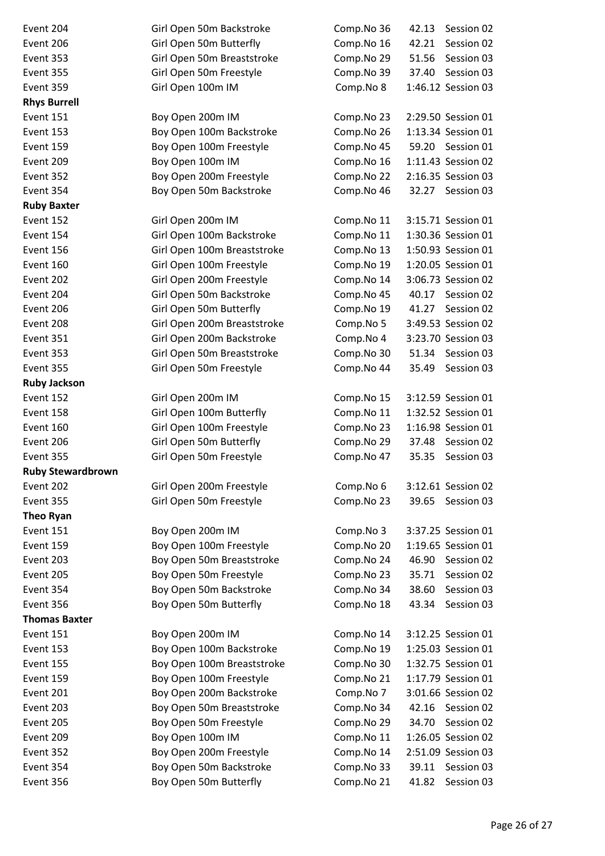| Event 204                | Girl Open 50m Backstroke    | Comp.No 36 | 42.13<br>Session 02 |
|--------------------------|-----------------------------|------------|---------------------|
| Event 206                | Girl Open 50m Butterfly     | Comp.No 16 | 42.21<br>Session 02 |
| Event 353                | Girl Open 50m Breaststroke  | Comp.No 29 | 51.56<br>Session 03 |
| Event 355                | Girl Open 50m Freestyle     | Comp.No 39 | Session 03<br>37.40 |
| Event 359                | Girl Open 100m IM           | Comp.No 8  | 1:46.12 Session 03  |
| <b>Rhys Burrell</b>      |                             |            |                     |
| <b>Event 151</b>         | Boy Open 200m IM            | Comp.No 23 | 2:29.50 Session 01  |
| Event 153                | Boy Open 100m Backstroke    | Comp.No 26 | 1:13.34 Session 01  |
| Event 159                | Boy Open 100m Freestyle     | Comp.No 45 | 59.20 Session 01    |
| Event 209                | Boy Open 100m IM            | Comp.No 16 | 1:11.43 Session 02  |
| Event 352                | Boy Open 200m Freestyle     | Comp.No 22 | 2:16.35 Session 03  |
| Event 354                | Boy Open 50m Backstroke     | Comp.No 46 | 32.27 Session 03    |
| <b>Ruby Baxter</b>       |                             |            |                     |
| Event 152                | Girl Open 200m IM           | Comp.No 11 | 3:15.71 Session 01  |
| Event 154                | Girl Open 100m Backstroke   | Comp.No 11 | 1:30.36 Session 01  |
| Event 156                | Girl Open 100m Breaststroke | Comp.No 13 | 1:50.93 Session 01  |
| Event 160                | Girl Open 100m Freestyle    | Comp.No 19 | 1:20.05 Session 01  |
| Event 202                | Girl Open 200m Freestyle    | Comp.No 14 | 3:06.73 Session 02  |
| Event 204                | Girl Open 50m Backstroke    | Comp.No 45 | 40.17<br>Session 02 |
| Event 206                | Girl Open 50m Butterfly     | Comp.No 19 | Session 02<br>41.27 |
| Event 208                | Girl Open 200m Breaststroke | Comp.No 5  | 3:49.53 Session 02  |
| Event 351                | Girl Open 200m Backstroke   | Comp.No 4  | 3:23.70 Session 03  |
| Event 353                | Girl Open 50m Breaststroke  | Comp.No 30 | 51.34<br>Session 03 |
| Event 355                | Girl Open 50m Freestyle     | Comp.No 44 | 35.49<br>Session 03 |
| <b>Ruby Jackson</b>      |                             |            |                     |
| Event 152                | Girl Open 200m IM           | Comp.No 15 | 3:12.59 Session 01  |
| Event 158                | Girl Open 100m Butterfly    | Comp.No 11 | 1:32.52 Session 01  |
| Event 160                | Girl Open 100m Freestyle    | Comp.No 23 | 1:16.98 Session 01  |
| Event 206                | Girl Open 50m Butterfly     | Comp.No 29 | 37.48<br>Session 02 |
| Event 355                | Girl Open 50m Freestyle     | Comp.No 47 | 35.35<br>Session 03 |
| <b>Ruby Stewardbrown</b> |                             |            |                     |
| Event 202                | Girl Open 200m Freestyle    | Comp.No 6  | 3:12.61 Session 02  |
| Event 355                | Girl Open 50m Freestyle     | Comp.No 23 | 39.65<br>Session 03 |
| <b>Theo Ryan</b>         |                             |            |                     |
| Event 151                | Boy Open 200m IM            | Comp.No 3  | 3:37.25 Session 01  |
| Event 159                | Boy Open 100m Freestyle     | Comp.No 20 | 1:19.65 Session 01  |
| Event 203                | Boy Open 50m Breaststroke   | Comp.No 24 | Session 02<br>46.90 |
| Event 205                | Boy Open 50m Freestyle      | Comp.No 23 | 35.71<br>Session 02 |
| Event 354                | Boy Open 50m Backstroke     | Comp.No 34 | 38.60<br>Session 03 |
| Event 356                | Boy Open 50m Butterfly      | Comp.No 18 | 43.34<br>Session 03 |
| <b>Thomas Baxter</b>     |                             |            |                     |
| Event 151                | Boy Open 200m IM            | Comp.No 14 | 3:12.25 Session 01  |
| Event 153                | Boy Open 100m Backstroke    | Comp.No 19 | 1:25.03 Session 01  |
| Event 155                | Boy Open 100m Breaststroke  | Comp.No 30 | 1:32.75 Session 01  |
| Event 159                | Boy Open 100m Freestyle     | Comp.No 21 | 1:17.79 Session 01  |
| Event 201                | Boy Open 200m Backstroke    | Comp.No 7  | 3:01.66 Session 02  |
| Event 203                | Boy Open 50m Breaststroke   | Comp.No 34 | 42.16<br>Session 02 |
| Event 205                | Boy Open 50m Freestyle      | Comp.No 29 | 34.70<br>Session 02 |
| Event 209                | Boy Open 100m IM            | Comp.No 11 | 1:26.05 Session 02  |
| Event 352                | Boy Open 200m Freestyle     | Comp.No 14 | 2:51.09 Session 03  |
| Event 354                | Boy Open 50m Backstroke     | Comp.No 33 | 39.11<br>Session 03 |
| Event 356                | Boy Open 50m Butterfly      | Comp.No 21 | 41.82<br>Session 03 |
|                          |                             |            |                     |